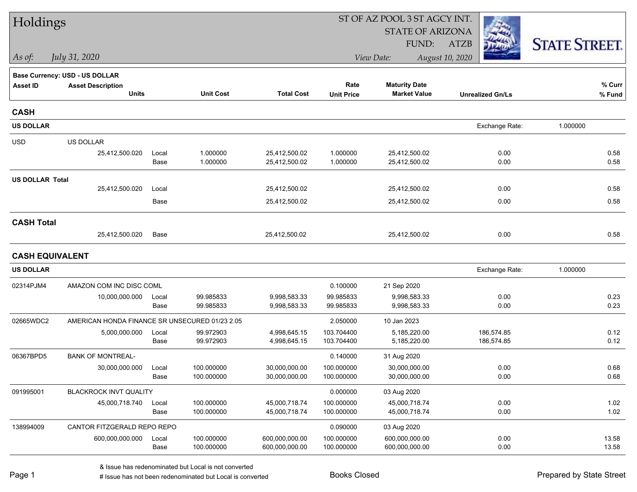| Holdings               |                                                |               |                          |                                | ST OF AZ POOL 3 ST AGCY INT. |                                |                          |                      |
|------------------------|------------------------------------------------|---------------|--------------------------|--------------------------------|------------------------------|--------------------------------|--------------------------|----------------------|
|                        |                                                |               |                          |                                |                              | <b>STATE OF ARIZONA</b>        |                          |                      |
|                        |                                                |               |                          |                                |                              | FUND:                          | <b>ATZB</b>              | <b>STATE STREET.</b> |
| As of:                 | July 31, 2020                                  |               |                          |                                |                              | View Date:                     | August 10, 2020          |                      |
|                        | Base Currency: USD - US DOLLAR                 |               |                          |                                |                              |                                |                          |                      |
| <b>Asset ID</b>        | <b>Asset Description</b>                       |               |                          |                                | Rate                         | <b>Maturity Date</b>           |                          | % Curr               |
|                        | <b>Units</b>                                   |               | <b>Unit Cost</b>         | <b>Total Cost</b>              | <b>Unit Price</b>            | <b>Market Value</b>            | <b>Unrealized Gn/Ls</b>  | % Fund               |
| <b>CASH</b>            |                                                |               |                          |                                |                              |                                |                          |                      |
| <b>US DOLLAR</b>       |                                                |               |                          |                                |                              |                                | Exchange Rate:           | 1.000000             |
| <b>USD</b>             | US DOLLAR                                      |               |                          |                                |                              |                                |                          |                      |
|                        | 25,412,500.020                                 | Local         | 1.000000                 | 25,412,500.02                  | 1.000000                     | 25,412,500.02                  | 0.00                     | 0.58                 |
|                        |                                                | Base          | 1.000000                 | 25,412,500.02                  | 1.000000                     | 25,412,500.02                  | 0.00                     | 0.58                 |
| <b>US DOLLAR Total</b> |                                                |               |                          |                                |                              |                                |                          |                      |
|                        | 25,412,500.020                                 | Local         |                          | 25,412,500.02                  |                              | 25,412,500.02                  | 0.00                     | 0.58                 |
|                        |                                                | Base          |                          | 25,412,500.02                  |                              | 25,412,500.02                  | 0.00                     | 0.58                 |
| <b>CASH Total</b>      |                                                |               |                          |                                |                              |                                |                          |                      |
|                        | 25,412,500.020                                 | Base          |                          | 25,412,500.02                  |                              | 25,412,500.02                  | 0.00                     | 0.58                 |
| <b>CASH EQUIVALENT</b> |                                                |               |                          |                                |                              |                                |                          |                      |
| <b>US DOLLAR</b>       |                                                |               |                          |                                |                              |                                | Exchange Rate:           | 1.000000             |
| 02314PJM4              | AMAZON COM INC DISC COML                       |               |                          |                                | 0.100000                     | 21 Sep 2020                    |                          |                      |
|                        | 10,000,000.000                                 | Local         | 99.985833                | 9,998,583.33                   | 99.985833                    | 9,998,583.33                   | 0.00                     | 0.23                 |
|                        |                                                | Base          | 99.985833                | 9,998,583.33                   | 99.985833                    | 9,998,583.33                   | 0.00                     | 0.23                 |
| 02665WDC2              | AMERICAN HONDA FINANCE SR UNSECURED 01/23 2.05 |               |                          |                                | 2.050000                     | 10 Jan 2023                    |                          |                      |
|                        | 5,000,000.000                                  | Local<br>Base | 99.972903<br>99.972903   | 4,998,645.15<br>4,998,645.15   | 103.704400<br>103.704400     | 5,185,220.00<br>5,185,220.00   | 186,574.85<br>186,574.85 | 0.12<br>0.12         |
|                        |                                                |               |                          |                                |                              |                                |                          |                      |
| 06367BPD5              | <b>BANK OF MONTREAL-</b>                       |               |                          |                                | 0.140000                     | 31 Aug 2020                    |                          |                      |
|                        | 30,000,000.000                                 | Local<br>Base | 100.000000<br>100.000000 | 30,000,000.00<br>30,000,000.00 | 100.000000<br>100.000000     | 30.000.000.00<br>30,000,000.00 | 0.00<br>0.00             | 0.68<br>0.68         |
| 091995001              | BLACKROCK INVT QUALITY                         |               |                          |                                | 0.000000                     | 03 Aug 2020                    |                          |                      |
|                        | 45,000,718.740                                 | Local         | 100.000000               | 45,000,718.74                  | 100.000000                   | 45,000,718.74                  | 0.00                     | 1.02                 |
|                        |                                                | Base          | 100.000000               | 45,000,718.74                  | 100.000000                   | 45,000,718.74                  | 0.00                     | 1.02                 |
| 138994009              | CANTOR FITZGERALD REPO REPO                    |               |                          |                                | 0.090000                     | 03 Aug 2020                    |                          |                      |
|                        | 600,000,000.000                                | Local         | 100.000000               | 600,000,000.00                 | 100.000000                   | 600,000,000.00                 | 0.00                     | 13.58                |
|                        |                                                | Base          | 100.000000               | 600,000,000.00                 | 100.000000                   | 600,000,000.00                 | 0.00                     | 13.58                |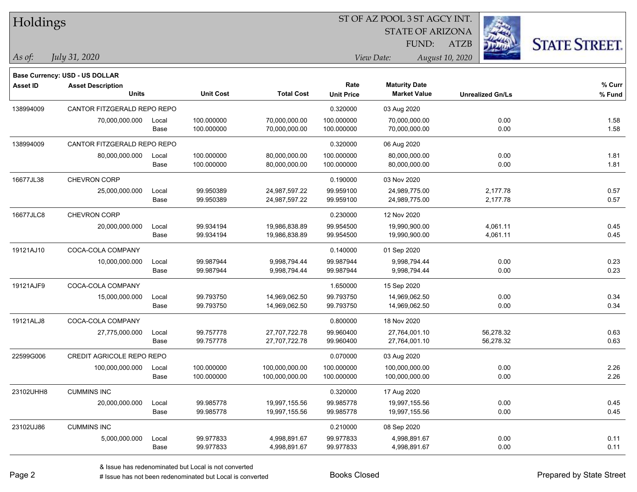| Holdings |  |  |
|----------|--|--|
|          |  |  |

STATE OF ARIZONA FUND:

ATZB



| As of: | July 31, 2020 |  |
|--------|---------------|--|
|        |               |  |

|           | Base Currency: USD - US DOLLAR           |               |                          |                                  |                           |                                             |                         |                  |
|-----------|------------------------------------------|---------------|--------------------------|----------------------------------|---------------------------|---------------------------------------------|-------------------------|------------------|
| Asset ID  | <b>Asset Description</b><br><b>Units</b> |               | <b>Unit Cost</b>         | <b>Total Cost</b>                | Rate<br><b>Unit Price</b> | <b>Maturity Date</b><br><b>Market Value</b> | <b>Unrealized Gn/Ls</b> | % Curr<br>% Fund |
| 138994009 | CANTOR FITZGERALD REPO REPO              |               |                          |                                  | 0.320000                  | 03 Aug 2020                                 |                         |                  |
|           | 70,000,000.000                           | Local<br>Base | 100.000000<br>100.000000 | 70,000,000.00<br>70,000,000.00   | 100.000000<br>100.000000  | 70,000,000.00<br>70,000,000.00              | 0.00<br>0.00            | 1.58<br>1.58     |
| 138994009 | CANTOR FITZGERALD REPO REPO              |               |                          |                                  | 0.320000                  | 06 Aug 2020                                 |                         |                  |
|           | 80,000,000.000                           | Local<br>Base | 100.000000<br>100.000000 | 80,000,000.00<br>80,000,000.00   | 100.000000<br>100.000000  | 80,000,000.00<br>80,000,000.00              | 0.00<br>0.00            | 1.81<br>1.81     |
| 16677JL38 | <b>CHEVRON CORP</b>                      |               |                          |                                  | 0.190000                  | 03 Nov 2020                                 |                         |                  |
|           | 25,000,000.000                           | Local<br>Base | 99.950389<br>99.950389   | 24,987,597.22<br>24,987,597.22   | 99.959100<br>99.959100    | 24,989,775.00<br>24,989,775.00              | 2,177.78<br>2,177.78    | 0.57<br>0.57     |
| 16677JLC8 | CHEVRON CORP                             |               |                          |                                  | 0.230000                  | 12 Nov 2020                                 |                         |                  |
|           | 20,000,000.000                           | Local<br>Base | 99.934194<br>99.934194   | 19,986,838.89<br>19,986,838.89   | 99.954500<br>99.954500    | 19,990,900.00<br>19,990,900.00              | 4,061.11<br>4,061.11    | 0.45<br>0.45     |
| 19121AJ10 | COCA-COLA COMPANY                        |               |                          |                                  | 0.140000                  | 01 Sep 2020                                 |                         |                  |
|           | 10,000,000.000                           | Local<br>Base | 99.987944<br>99.987944   | 9,998,794.44<br>9,998,794.44     | 99.987944<br>99.987944    | 9,998,794.44<br>9,998,794.44                | 0.00<br>0.00            | 0.23<br>0.23     |
| 19121AJF9 | COCA-COLA COMPANY                        |               |                          |                                  | 1.650000                  | 15 Sep 2020                                 |                         |                  |
|           | 15,000,000.000                           | Local<br>Base | 99.793750<br>99.793750   | 14,969,062.50<br>14,969,062.50   | 99.793750<br>99.793750    | 14,969,062.50<br>14,969,062.50              | 0.00<br>0.00            | 0.34<br>0.34     |
| 19121ALJ8 | COCA-COLA COMPANY                        |               |                          |                                  | 0.800000                  | 18 Nov 2020                                 |                         |                  |
|           | 27,775,000.000                           | Local<br>Base | 99.757778<br>99.757778   | 27,707,722.78<br>27,707,722.78   | 99.960400<br>99.960400    | 27,764,001.10<br>27,764,001.10              | 56,278.32<br>56,278.32  | 0.63<br>0.63     |
| 22599G006 | <b>CREDIT AGRICOLE REPO REPO</b>         |               |                          |                                  | 0.070000                  | 03 Aug 2020                                 |                         |                  |
|           | 100,000,000.000                          | Local<br>Base | 100.000000<br>100.000000 | 100,000,000.00<br>100,000,000.00 | 100.000000<br>100.000000  | 100,000,000.00<br>100,000,000.00            | 0.00<br>0.00            | 2.26<br>2.26     |
| 23102UHH8 | <b>CUMMINS INC</b>                       |               |                          |                                  | 0.320000                  | 17 Aug 2020                                 |                         |                  |
|           | 20,000,000.000                           | Local<br>Base | 99.985778<br>99.985778   | 19,997,155.56<br>19,997,155.56   | 99.985778<br>99.985778    | 19,997,155.56<br>19,997,155.56              | 0.00<br>0.00            | 0.45<br>0.45     |
| 23102UJ86 | <b>CUMMINS INC</b>                       |               |                          |                                  | 0.210000                  | 08 Sep 2020                                 |                         |                  |
|           | 5,000,000.000                            | Local<br>Base | 99.977833<br>99.977833   | 4,998,891.67<br>4,998,891.67     | 99.977833<br>99.977833    | 4,998,891.67<br>4,998,891.67                | 0.00<br>0.00            | 0.11<br>0.11     |
|           |                                          |               |                          |                                  |                           |                                             |                         |                  |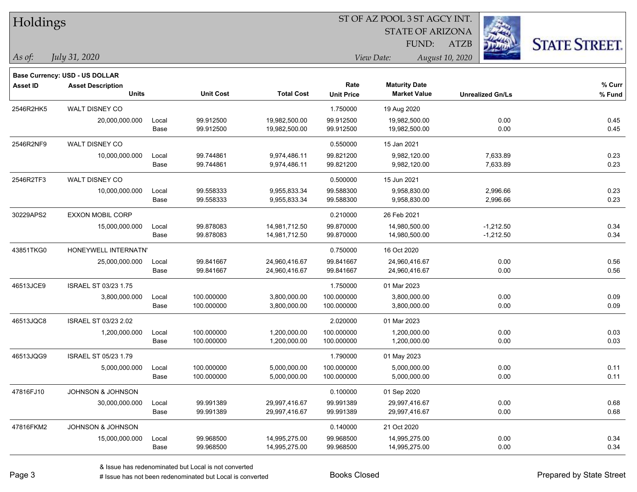| Holdings        |                                       |       | ST OF AZ POOL 3 ST AGCY INT. |                   |                   |                         |                         |                      |  |
|-----------------|---------------------------------------|-------|------------------------------|-------------------|-------------------|-------------------------|-------------------------|----------------------|--|
|                 |                                       |       |                              |                   |                   | <b>STATE OF ARIZONA</b> |                         |                      |  |
|                 |                                       |       |                              |                   |                   | FUND:                   | <b>ATZB</b>             | <b>STATE STREET.</b> |  |
| As of:          | <i>July 31, 2020</i>                  |       |                              |                   |                   | View Date:              | August 10, 2020         |                      |  |
|                 | <b>Base Currency: USD - US DOLLAR</b> |       |                              |                   |                   |                         |                         |                      |  |
| <b>Asset ID</b> | <b>Asset Description</b>              |       |                              |                   | Rate              | <b>Maturity Date</b>    |                         | % Curr               |  |
|                 | <b>Units</b>                          |       | <b>Unit Cost</b>             | <b>Total Cost</b> | <b>Unit Price</b> | <b>Market Value</b>     | <b>Unrealized Gn/Ls</b> | % Fund               |  |
| 2546R2HK5       | WALT DISNEY CO                        |       |                              |                   | 1.750000          | 19 Aug 2020             |                         |                      |  |
|                 | 20,000,000.000                        | Local | 99.912500                    | 19,982,500.00     | 99.912500         | 19,982,500.00           | 0.00                    | 0.45                 |  |
|                 |                                       | Base  | 99.912500                    | 19,982,500.00     | 99.912500         | 19,982,500.00           | 0.00                    | 0.45                 |  |
| 2546R2NF9       | WALT DISNEY CO                        |       |                              |                   | 0.550000          | 15 Jan 2021             |                         |                      |  |
|                 | 10,000,000.000                        | Local | 99.744861                    | 9,974,486.11      | 99.821200         | 9,982,120.00            | 7,633.89                | 0.23                 |  |
|                 |                                       | Base  | 99.744861                    | 9,974,486.11      | 99.821200         | 9,982,120.00            | 7,633.89                | 0.23                 |  |
| 2546R2TF3       | WALT DISNEY CO                        |       |                              |                   | 0.500000          | 15 Jun 2021             |                         |                      |  |
|                 | 10,000,000.000                        | Local | 99.558333                    | 9,955,833.34      | 99.588300         | 9,958,830.00            | 2,996.66                | 0.23                 |  |
|                 |                                       | Base  | 99.558333                    | 9,955,833.34      | 99.588300         | 9,958,830.00            | 2,996.66                | 0.23                 |  |
| 30229APS2       | <b>EXXON MOBIL CORP</b>               |       |                              |                   | 0.210000          | 26 Feb 2021             |                         |                      |  |
|                 | 15,000,000.000                        | Local | 99.878083                    | 14,981,712.50     | 99.870000         | 14,980,500.00           | $-1,212.50$             | 0.34                 |  |
|                 |                                       | Base  | 99.878083                    | 14,981,712.50     | 99.870000         | 14,980,500.00           | $-1,212.50$             | 0.34                 |  |
| 43851TKG0       | HONEYWELL INTERNATN'                  |       |                              |                   | 0.750000          | 16 Oct 2020             |                         |                      |  |
|                 | 25,000,000.000                        | Local | 99.841667                    | 24,960,416.67     | 99.841667         | 24,960,416.67           | 0.00                    | 0.56                 |  |
|                 |                                       | Base  | 99.841667                    | 24,960,416.67     | 99.841667         | 24,960,416.67           | 0.00                    | 0.56                 |  |
| 46513JCE9       | ISRAEL ST 03/23 1.75                  |       |                              |                   | 1.750000          | 01 Mar 2023             |                         |                      |  |
|                 | 3,800,000.000                         | Local | 100.000000                   | 3,800,000.00      | 100.000000        | 3,800,000.00            | 0.00                    | 0.09                 |  |
|                 |                                       | Base  | 100.000000                   | 3,800,000.00      | 100.000000        | 3,800,000.00            | 0.00                    | 0.09                 |  |
| 46513JQC8       | <b>ISRAEL ST 03/23 2.02</b>           |       |                              |                   | 2.020000          | 01 Mar 2023             |                         |                      |  |
|                 | 1,200,000.000                         | Local | 100.000000                   | 1,200,000.00      | 100.000000        | 1,200,000.00            | 0.00                    | 0.03                 |  |
|                 |                                       | Base  | 100.000000                   | 1,200,000.00      | 100.000000        | 1,200,000.00            | 0.00                    | 0.03                 |  |
| 46513JQG9       | ISRAEL ST 05/23 1.79                  |       |                              |                   | 1.790000          | 01 May 2023             |                         |                      |  |
|                 | 5,000,000.000                         | Local | 100.000000                   | 5,000,000.00      | 100.000000        | 5,000,000.00            | 0.00                    | 0.11                 |  |
|                 |                                       | Base  | 100.000000                   | 5,000,000.00      | 100.000000        | 5,000,000.00            | 0.00                    | 0.11                 |  |
| 47816FJ10       | JOHNSON & JOHNSON                     |       |                              |                   | 0.100000          | 01 Sep 2020             |                         |                      |  |
|                 | 30,000,000.000                        | Local | 99.991389                    | 29,997,416.67     | 99.991389         | 29,997,416.67           | 0.00                    | 0.68                 |  |
|                 |                                       | Base  | 99.991389                    | 29,997,416.67     | 99.991389         | 29,997,416.67           | 0.00                    | 0.68                 |  |
| 47816FKM2       | <b>JOHNSON &amp; JOHNSON</b>          |       |                              |                   | 0.140000          | 21 Oct 2020             |                         |                      |  |
|                 | 15,000,000.000                        | Local | 99.968500                    | 14,995,275.00     | 99.968500         | 14,995,275.00           | 0.00                    | 0.34                 |  |
|                 |                                       | Base  | 99.968500                    | 14,995,275.00     | 99.968500         | 14,995,275.00           | 0.00                    | 0.34                 |  |

e e

 $\overline{\phantom{0}}$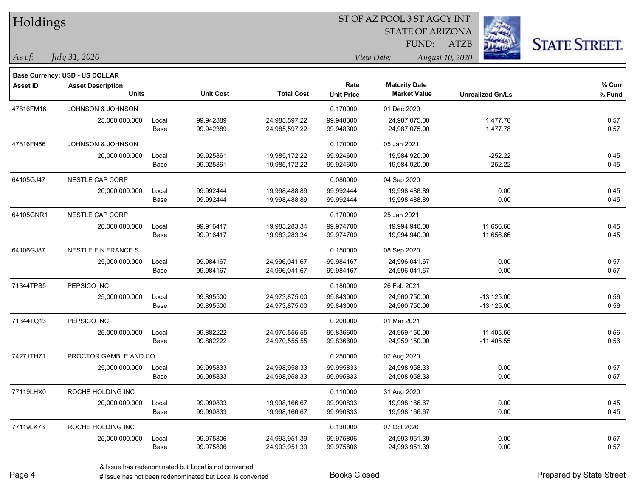| Holdings |
|----------|
|----------|

STATE OF ARIZONA FUND:

ATZB



| As of: | July 31, 2020 |  |
|--------|---------------|--|
|        |               |  |

|                 | <b>Base Currency: USD - US DOLLAR</b> |       |                  |                   |                   |                      |                         |        |
|-----------------|---------------------------------------|-------|------------------|-------------------|-------------------|----------------------|-------------------------|--------|
| <b>Asset ID</b> | <b>Asset Description</b>              |       |                  |                   | Rate              | <b>Maturity Date</b> |                         | % Curr |
|                 | <b>Units</b>                          |       | <b>Unit Cost</b> | <b>Total Cost</b> | <b>Unit Price</b> | <b>Market Value</b>  | <b>Unrealized Gn/Ls</b> | % Fund |
| 47816FM16       | <b>JOHNSON &amp; JOHNSON</b>          |       |                  |                   | 0.170000          | 01 Dec 2020          |                         |        |
|                 | 25,000,000.000                        | Local | 99.942389        | 24,985,597.22     | 99.948300         | 24,987,075.00        | 1,477.78                | 0.57   |
|                 |                                       | Base  | 99.942389        | 24,985,597.22     | 99.948300         | 24,987,075.00        | 1,477.78                | 0.57   |
| 47816FN56       | <b>JOHNSON &amp; JOHNSON</b>          |       |                  |                   | 0.170000          | 05 Jan 2021          |                         |        |
|                 | 20,000,000.000                        | Local | 99.925861        | 19,985,172.22     | 99.924600         | 19,984,920.00        | $-252.22$               | 0.45   |
|                 |                                       | Base  | 99.925861        | 19,985,172.22     | 99.924600         | 19,984,920.00        | $-252.22$               | 0.45   |
| 64105GJ47       | NESTLE CAP CORP                       |       |                  |                   | 0.080000          | 04 Sep 2020          |                         |        |
|                 | 20,000,000.000                        | Local | 99.992444        | 19,998,488.89     | 99.992444         | 19,998,488.89        | 0.00                    | 0.45   |
|                 |                                       | Base  | 99.992444        | 19,998,488.89     | 99.992444         | 19,998,488.89        | 0.00                    | 0.45   |
| 64105GNR1       | NESTLE CAP CORP                       |       |                  |                   | 0.170000          | 25 Jan 2021          |                         |        |
|                 | 20,000,000.000                        | Local | 99.916417        | 19,983,283.34     | 99.974700         | 19,994,940.00        | 11,656.66               | 0.45   |
|                 |                                       | Base  | 99.916417        | 19,983,283.34     | 99.974700         | 19,994,940.00        | 11,656.66               | 0.45   |
| 64106GJ87       | NESTLE FIN FRANCE S.                  |       |                  |                   | 0.150000          | 08 Sep 2020          |                         |        |
|                 | 25,000,000.000                        | Local | 99.984167        | 24,996,041.67     | 99.984167         | 24,996,041.67        | 0.00                    | 0.57   |
|                 |                                       | Base  | 99.984167        | 24,996,041.67     | 99.984167         | 24,996,041.67        | 0.00                    | 0.57   |
| 71344TPS5       | PEPSICO INC                           |       |                  |                   | 0.180000          | 26 Feb 2021          |                         |        |
|                 | 25,000,000.000                        | Local | 99.895500        | 24,973,875.00     | 99.843000         | 24,960,750.00        | $-13,125.00$            | 0.56   |
|                 |                                       | Base  | 99.895500        | 24,973,875.00     | 99.843000         | 24,960,750.00        | $-13,125.00$            | 0.56   |
| 71344TQ13       | PEPSICO INC                           |       |                  |                   | 0.200000          | 01 Mar 2021          |                         |        |
|                 | 25,000,000.000                        | Local | 99.882222        | 24,970,555.55     | 99.836600         | 24,959,150.00        | $-11,405.55$            | 0.56   |
|                 |                                       | Base  | 99.882222        | 24,970,555.55     | 99.836600         | 24,959,150.00        | $-11,405.55$            | 0.56   |
| 74271TH71       | PROCTOR GAMBLE AND CO                 |       |                  |                   | 0.250000          | 07 Aug 2020          |                         |        |
|                 | 25,000,000.000                        | Local | 99.995833        | 24,998,958.33     | 99.995833         | 24,998,958.33        | 0.00                    | 0.57   |
|                 |                                       | Base  | 99.995833        | 24,998,958.33     | 99.995833         | 24,998,958.33        | 0.00                    | 0.57   |
| 77119LHX0       | ROCHE HOLDING INC                     |       |                  |                   | 0.110000          | 31 Aug 2020          |                         |        |
|                 | 20,000,000.000                        | Local | 99.990833        | 19,998,166.67     | 99.990833         | 19,998,166.67        | 0.00                    | 0.45   |
|                 |                                       | Base  | 99.990833        | 19,998,166.67     | 99.990833         | 19,998,166.67        | 0.00                    | 0.45   |
| 77119LK73       | ROCHE HOLDING INC                     |       |                  |                   | 0.130000          | 07 Oct 2020          |                         |        |
|                 | 25,000,000.000                        | Local | 99.975806        | 24,993,951.39     | 99.975806         | 24,993,951.39        | 0.00                    | 0.57   |
|                 |                                       | Base  | 99.975806        | 24,993,951.39     | 99.975806         | 24,993,951.39        | 0.00                    | 0.57   |
|                 |                                       |       |                  |                   |                   |                      |                         |        |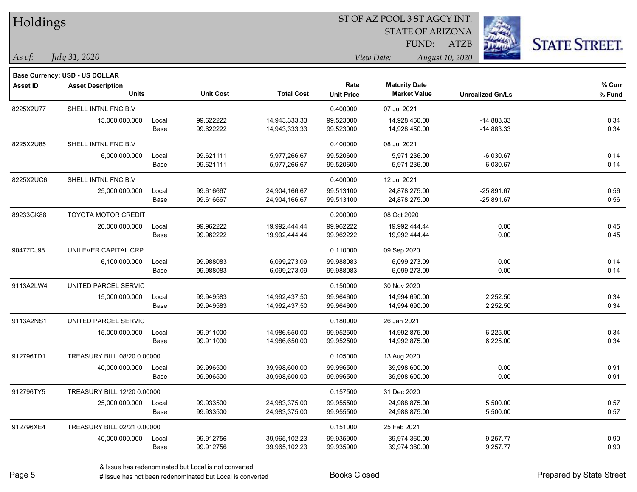|  |  | Holdings |  |
|--|--|----------|--|
|--|--|----------|--|

STATE OF ARIZONA FUND:

ATZB



| As of: | July 31, 2020 |  |
|--------|---------------|--|
|        |               |  |

|                 | <b>Base Currency: USD - US DOLLAR</b>    |               |                        |                                |                           |                                             |                              |                  |
|-----------------|------------------------------------------|---------------|------------------------|--------------------------------|---------------------------|---------------------------------------------|------------------------------|------------------|
| <b>Asset ID</b> | <b>Asset Description</b><br><b>Units</b> |               | <b>Unit Cost</b>       | <b>Total Cost</b>              | Rate<br><b>Unit Price</b> | <b>Maturity Date</b><br><b>Market Value</b> | <b>Unrealized Gn/Ls</b>      | % Curr<br>% Fund |
| 8225X2U77       | SHELL INTNL FNC B.V                      |               |                        |                                | 0.400000                  | 07 Jul 2021                                 |                              |                  |
|                 | 15,000,000.000                           | Local<br>Base | 99.622222<br>99.622222 | 14,943,333.33<br>14,943,333.33 | 99.523000<br>99.523000    | 14,928,450.00<br>14,928,450.00              | $-14,883.33$<br>$-14,883.33$ | 0.34<br>0.34     |
| 8225X2U85       | SHELL INTNL FNC B.V                      |               |                        |                                | 0.400000                  | 08 Jul 2021                                 |                              |                  |
|                 | 6,000,000.000                            | Local<br>Base | 99.621111<br>99.621111 | 5,977,266.67<br>5,977,266.67   | 99.520600<br>99.520600    | 5,971,236.00<br>5,971,236.00                | -6,030.67<br>$-6,030.67$     | 0.14<br>0.14     |
| 8225X2UC6       | SHELL INTNL FNC B.V                      |               |                        |                                | 0.400000                  | 12 Jul 2021                                 |                              |                  |
|                 | 25,000,000.000                           | Local<br>Base | 99.616667<br>99.616667 | 24,904,166.67<br>24,904,166.67 | 99.513100<br>99.513100    | 24,878,275.00<br>24,878,275.00              | $-25,891.67$<br>$-25,891.67$ | 0.56<br>0.56     |
| 89233GK88       | <b>TOYOTA MOTOR CREDIT</b>               |               |                        |                                | 0.200000                  | 08 Oct 2020                                 |                              |                  |
|                 | 20,000,000.000                           | Local<br>Base | 99.962222<br>99.962222 | 19,992,444.44<br>19,992,444.44 | 99.962222<br>99.962222    | 19,992,444.44<br>19,992,444.44              | 0.00<br>0.00                 | 0.45<br>0.45     |
| 90477DJ98       | UNILEVER CAPITAL CRP                     |               |                        |                                | 0.110000                  | 09 Sep 2020                                 |                              |                  |
|                 | 6,100,000.000                            | Local<br>Base | 99.988083<br>99.988083 | 6,099,273.09<br>6,099,273.09   | 99.988083<br>99.988083    | 6,099,273.09<br>6,099,273.09                | 0.00<br>0.00                 | 0.14<br>0.14     |
| 9113A2LW4       | UNITED PARCEL SERVIC                     |               |                        |                                | 0.150000                  | 30 Nov 2020                                 |                              |                  |
|                 | 15,000,000.000                           | Local<br>Base | 99.949583<br>99.949583 | 14,992,437.50<br>14,992,437.50 | 99.964600<br>99.964600    | 14,994,690.00<br>14,994,690.00              | 2,252.50<br>2,252.50         | 0.34<br>0.34     |
| 9113A2NS1       | UNITED PARCEL SERVIC                     |               |                        |                                | 0.180000                  | 26 Jan 2021                                 |                              |                  |
|                 | 15,000,000.000                           | Local<br>Base | 99.911000<br>99.911000 | 14,986,650.00<br>14,986,650.00 | 99.952500<br>99.952500    | 14,992,875.00<br>14,992,875.00              | 6,225.00<br>6,225.00         | 0.34<br>0.34     |
| 912796TD1       | TREASURY BILL 08/20 0.00000              |               |                        |                                | 0.105000                  | 13 Aug 2020                                 |                              |                  |
|                 | 40,000,000.000                           | Local<br>Base | 99.996500<br>99.996500 | 39,998,600.00<br>39,998,600.00 | 99.996500<br>99.996500    | 39,998,600.00<br>39,998,600.00              | 0.00<br>0.00                 | 0.91<br>0.91     |
| 912796TY5       | TREASURY BILL 12/20 0.00000              |               |                        |                                | 0.157500                  | 31 Dec 2020                                 |                              |                  |
|                 | 25,000,000.000                           | Local<br>Base | 99.933500<br>99.933500 | 24,983,375.00<br>24,983,375.00 | 99.955500<br>99.955500    | 24,988,875.00<br>24,988,875.00              | 5,500.00<br>5,500.00         | 0.57<br>0.57     |
| 912796XE4       | TREASURY BILL 02/21 0.00000              |               |                        |                                | 0.151000                  | 25 Feb 2021                                 |                              |                  |
|                 | 40,000,000.000                           | Local<br>Base | 99.912756<br>99.912756 | 39,965,102.23<br>39,965,102.23 | 99.935900<br>99.935900    | 39,974,360.00<br>39,974,360.00              | 9,257.77<br>9,257.77         | 0.90<br>0.90     |
|                 |                                          |               |                        |                                |                           |                                             |                              |                  |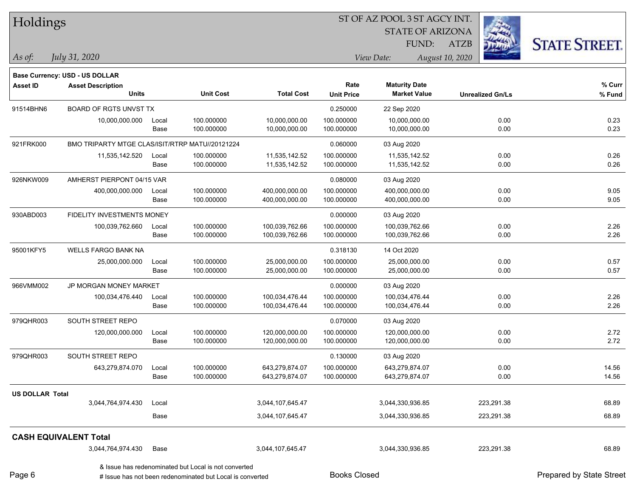| Holdings               |                                                 |       | ST OF AZ POOL 3 ST AGCY INT.                              |                   |                     |                         |                         |                          |  |  |
|------------------------|-------------------------------------------------|-------|-----------------------------------------------------------|-------------------|---------------------|-------------------------|-------------------------|--------------------------|--|--|
|                        |                                                 |       |                                                           |                   |                     | <b>STATE OF ARIZONA</b> |                         |                          |  |  |
|                        |                                                 |       |                                                           |                   |                     | FUND:                   | <b>ATZB</b>             | <b>STATE STREET.</b>     |  |  |
| As of:                 | July 31, 2020                                   |       |                                                           |                   |                     | View Date:              | August 10, 2020         |                          |  |  |
|                        | Base Currency: USD - US DOLLAR                  |       |                                                           |                   |                     |                         |                         |                          |  |  |
| <b>Asset ID</b>        | <b>Asset Description</b>                        |       |                                                           |                   | Rate                | <b>Maturity Date</b>    |                         | % Curr                   |  |  |
|                        | <b>Units</b>                                    |       | <b>Unit Cost</b>                                          | <b>Total Cost</b> | <b>Unit Price</b>   | <b>Market Value</b>     | <b>Unrealized Gn/Ls</b> | % Fund                   |  |  |
| 91514BHN6              | <b>BOARD OF RGTS UNVST TX</b>                   |       |                                                           |                   | 0.250000            | 22 Sep 2020             |                         |                          |  |  |
|                        | 10,000,000.000                                  | Local | 100.000000                                                | 10,000,000.00     | 100.000000          | 10,000,000.00           | 0.00                    | 0.23                     |  |  |
|                        |                                                 | Base  | 100.000000                                                | 10,000,000.00     | 100.000000          | 10,000,000.00           | 0.00                    | 0.23                     |  |  |
| 921FRK000              | BMO TRIPARTY MTGE CLAS/ISIT/RTRP MATU//20121224 |       |                                                           |                   | 0.060000            | 03 Aug 2020             |                         |                          |  |  |
|                        | 11,535,142.520                                  | Local | 100.000000                                                | 11,535,142.52     | 100.000000          | 11,535,142.52           | 0.00                    | 0.26                     |  |  |
|                        |                                                 | Base  | 100.000000                                                | 11,535,142.52     | 100.000000          | 11,535,142.52           | 0.00                    | 0.26                     |  |  |
| 926NKW009              | AMHERST PIERPONT 04/15 VAR                      |       |                                                           |                   | 0.080000            | 03 Aug 2020             |                         |                          |  |  |
|                        | 400,000,000.000                                 | Local | 100.000000                                                | 400,000,000.00    | 100.000000          | 400,000,000.00          | 0.00                    | 9.05                     |  |  |
|                        |                                                 | Base  | 100.000000                                                | 400,000,000.00    | 100.000000          | 400,000,000.00          | 0.00                    | 9.05                     |  |  |
| 930ABD003              | FIDELITY INVESTMENTS MONEY                      |       |                                                           |                   | 0.000000            | 03 Aug 2020             |                         |                          |  |  |
|                        | 100,039,762.660                                 | Local | 100.000000                                                | 100,039,762.66    | 100.000000          | 100,039,762.66          | 0.00                    | 2.26                     |  |  |
|                        |                                                 | Base  | 100.000000                                                | 100,039,762.66    | 100.000000          | 100,039,762.66          | 0.00                    | 2.26                     |  |  |
| 95001KFY5              | <b>WELLS FARGO BANK NA</b>                      |       |                                                           |                   | 0.318130            | 14 Oct 2020             |                         |                          |  |  |
|                        | 25,000,000.000                                  | Local | 100.000000                                                | 25,000,000.00     | 100.000000          | 25,000,000.00           | 0.00                    | 0.57                     |  |  |
|                        |                                                 | Base  | 100.000000                                                | 25,000,000.00     | 100.000000          | 25,000,000.00           | 0.00                    | 0.57                     |  |  |
| 966VMM002              | JP MORGAN MONEY MARKET                          |       |                                                           |                   | 0.000000            | 03 Aug 2020             |                         |                          |  |  |
|                        | 100,034,476.440                                 | Local | 100.000000                                                | 100,034,476.44    | 100.000000          | 100,034,476.44          | 0.00                    | 2.26                     |  |  |
|                        |                                                 | Base  | 100.000000                                                | 100,034,476.44    | 100.000000          | 100,034,476.44          | 0.00                    | 2.26                     |  |  |
| 979QHR003              | SOUTH STREET REPO                               |       |                                                           |                   | 0.070000            | 03 Aug 2020             |                         |                          |  |  |
|                        | 120,000,000.000                                 | Local | 100.000000                                                | 120,000,000.00    | 100.000000          | 120,000,000.00          | 0.00                    | 2.72                     |  |  |
|                        |                                                 | Base  | 100.000000                                                | 120,000,000.00    | 100.000000          | 120,000,000.00          | 0.00                    | 2.72                     |  |  |
| 979QHR003              | SOUTH STREET REPO                               |       |                                                           |                   | 0.130000            | 03 Aug 2020             |                         |                          |  |  |
|                        | 643,279,874.070                                 | Local | 100.000000                                                | 643,279,874.07    | 100.000000          | 643,279,874.07          | 0.00                    | 14.56                    |  |  |
|                        |                                                 | Base  | 100.000000                                                | 643,279,874.07    | 100.000000          | 643,279,874.07          | 0.00                    | 14.56                    |  |  |
| <b>US DOLLAR Total</b> |                                                 |       |                                                           |                   |                     |                         |                         |                          |  |  |
|                        | 3,044,764,974.430                               | Local |                                                           | 3,044,107,645.47  |                     | 3,044,330,936.85        | 223,291.38              | 68.89                    |  |  |
|                        |                                                 | Base  |                                                           | 3,044,107,645.47  |                     | 3,044,330,936.85        | 223,291.38              | 68.89                    |  |  |
|                        | <b>CASH EQUIVALENT Total</b>                    |       |                                                           |                   |                     |                         |                         |                          |  |  |
|                        | 3,044,764,974.430                               | Base  |                                                           | 3,044,107,645.47  |                     | 3,044,330,936.85        | 223,291.38              | 68.89                    |  |  |
|                        |                                                 |       | & Issue has redenominated but Local is not converted      |                   |                     |                         |                         |                          |  |  |
| Page 6                 |                                                 |       | # Issue has not been redenominated but Local is converted |                   | <b>Books Closed</b> |                         |                         | Prepared by State Street |  |  |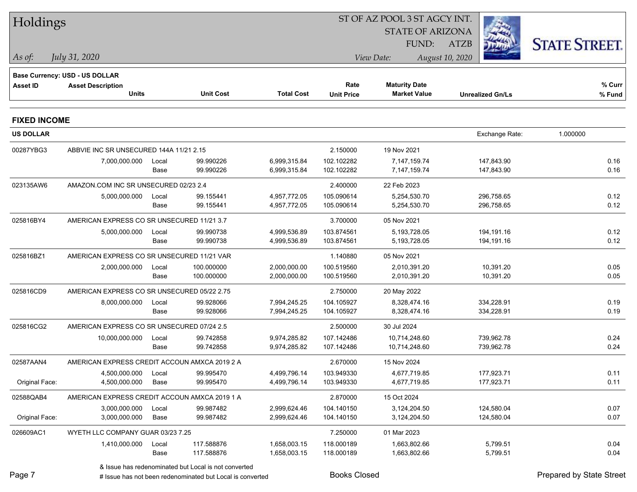|                     | Holdings                                      |       |                                                           |                   |                     | ST OF AZ POOL 3 ST AGCY INT. |                         |                                 |
|---------------------|-----------------------------------------------|-------|-----------------------------------------------------------|-------------------|---------------------|------------------------------|-------------------------|---------------------------------|
|                     |                                               |       |                                                           |                   |                     | <b>STATE OF ARIZONA</b>      |                         |                                 |
|                     |                                               |       |                                                           |                   |                     | FUND:                        | <b>ATZB</b>             | <b>STATE STREET.</b>            |
| $ $ As of:          | July 31, 2020                                 |       |                                                           |                   |                     | View Date:                   | August 10, 2020         |                                 |
|                     | <b>Base Currency: USD - US DOLLAR</b>         |       |                                                           |                   |                     |                              |                         |                                 |
| <b>Asset ID</b>     | <b>Asset Description</b>                      |       |                                                           |                   | Rate                | <b>Maturity Date</b>         |                         | % Curr                          |
|                     | <b>Units</b>                                  |       | <b>Unit Cost</b>                                          | <b>Total Cost</b> | <b>Unit Price</b>   | <b>Market Value</b>          | <b>Unrealized Gn/Ls</b> | % Fund                          |
| <b>FIXED INCOME</b> |                                               |       |                                                           |                   |                     |                              |                         |                                 |
| <b>US DOLLAR</b>    |                                               |       |                                                           |                   |                     |                              | Exchange Rate:          | 1.000000                        |
| 00287YBG3           | ABBVIE INC SR UNSECURED 144A 11/21 2.15       |       |                                                           |                   | 2.150000            | 19 Nov 2021                  |                         |                                 |
|                     | 7,000,000.000                                 | Local | 99.990226                                                 | 6,999,315.84      | 102.102282          | 7,147,159.74                 | 147,843.90              | 0.16                            |
|                     |                                               | Base  | 99.990226                                                 | 6,999,315.84      | 102.102282          | 7,147,159.74                 | 147,843.90              | 0.16                            |
| 023135AW6           | AMAZON.COM INC SR UNSECURED 02/23 2.4         |       |                                                           |                   | 2.400000            | 22 Feb 2023                  |                         |                                 |
|                     | 5,000,000.000                                 | Local | 99.155441                                                 | 4,957,772.05      | 105.090614          | 5,254,530.70                 | 296,758.65              | 0.12                            |
|                     |                                               | Base  | 99.155441                                                 | 4,957,772.05      | 105.090614          | 5,254,530.70                 | 296,758.65              | 0.12                            |
| 025816BY4           | AMERICAN EXPRESS CO SR UNSECURED 11/21 3.7    |       |                                                           |                   | 3.700000            | 05 Nov 2021                  |                         |                                 |
|                     | 5,000,000.000                                 | Local | 99.990738                                                 | 4,999,536.89      | 103.874561          | 5,193,728.05                 | 194,191.16              | 0.12                            |
|                     |                                               | Base  | 99.990738                                                 | 4,999,536.89      | 103.874561          | 5,193,728.05                 | 194,191.16              | 0.12                            |
| 025816BZ1           | AMERICAN EXPRESS CO SR UNSECURED 11/21 VAR    |       |                                                           |                   | 1.140880            | 05 Nov 2021                  |                         |                                 |
|                     | 2,000,000.000                                 | Local | 100.000000                                                | 2,000,000.00      | 100.519560          | 2,010,391.20                 | 10,391.20               | 0.05                            |
|                     |                                               | Base  | 100.000000                                                | 2,000,000.00      | 100.519560          | 2,010,391.20                 | 10,391.20               | 0.05                            |
| 025816CD9           | AMERICAN EXPRESS CO SR UNSECURED 05/22 2.75   |       |                                                           |                   | 2.750000            | 20 May 2022                  |                         |                                 |
|                     | 8,000,000.000                                 | Local | 99.928066                                                 | 7,994,245.25      | 104.105927          | 8,328,474.16                 | 334,228.91              | 0.19                            |
|                     |                                               | Base  | 99.928066                                                 | 7,994,245.25      | 104.105927          | 8,328,474.16                 | 334,228.91              | 0.19                            |
| 025816CG2           | AMERICAN EXPRESS CO SR UNSECURED 07/24 2.5    |       |                                                           |                   | 2.500000            | 30 Jul 2024                  |                         |                                 |
|                     | 10,000,000.000                                | Local | 99.742858                                                 | 9,974,285.82      | 107.142486          | 10,714,248.60                | 739,962.78              | 0.24                            |
|                     |                                               | Base  | 99.742858                                                 | 9,974,285.82      | 107.142486          | 10,714,248.60                | 739,962.78              | 0.24                            |
| 02587AAN4           | AMERICAN EXPRESS CREDIT ACCOUN AMXCA 2019 2 A |       |                                                           |                   | 2.670000            | 15 Nov 2024                  |                         |                                 |
|                     | 4,500,000.000 Local                           |       | 99.995470                                                 | 4,499,796.14      | 103.949330          | 4,677,719.85                 | 177,923.71              | 0.11                            |
| Original Face:      | 4,500,000.000                                 | Base  | 99.995470                                                 | 4,499,796.14      | 103.949330          | 4,677,719.85                 | 177,923.71              | 0.11                            |
| 02588QAB4           | AMERICAN EXPRESS CREDIT ACCOUN AMXCA 2019 1 A |       |                                                           |                   | 2.870000            | 15 Oct 2024                  |                         |                                 |
|                     | 3,000,000.000                                 | Local | 99.987482                                                 | 2,999,624.46      | 104.140150          | 3,124,204.50                 | 124,580.04              | 0.07                            |
| Original Face:      | 3,000,000.000                                 | Base  | 99.987482                                                 | 2,999,624.46      | 104.140150          | 3,124,204.50                 | 124,580.04              | 0.07                            |
| 026609AC1           | WYETH LLC COMPANY GUAR 03/23 7.25             |       |                                                           |                   | 7.250000            | 01 Mar 2023                  |                         |                                 |
|                     | 1,410,000.000                                 | Local | 117.588876                                                | 1,658,003.15      | 118.000189          | 1,663,802.66                 | 5,799.51                | 0.04                            |
|                     |                                               | Base  | 117.588876                                                | 1,658,003.15      | 118.000189          | 1,663,802.66                 | 5,799.51                | 0.04                            |
|                     |                                               |       | & Issue has redenominated but Local is not converted      |                   |                     |                              |                         |                                 |
| Page 7              |                                               |       | # Issue has not been redenominated but Local is converted |                   | <b>Books Closed</b> |                              |                         | <b>Prepared by State Street</b> |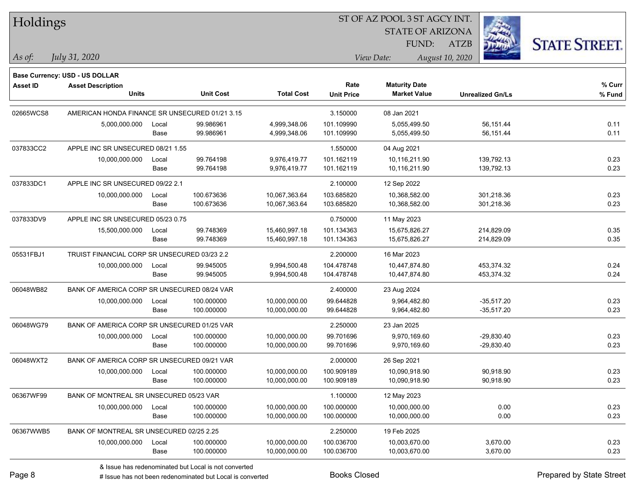Holdings

#### ST OF AZ POOL 3 ST AGCY INT.

STATE OF ARIZONA FUND:

ATZB



*As of: View Date: August 10, 2020*

*July 31, 2020*

|                 | <b>Base Currency: USD - US DOLLAR</b>          |       |                  |                   |                   |                      |                         |        |
|-----------------|------------------------------------------------|-------|------------------|-------------------|-------------------|----------------------|-------------------------|--------|
| <b>Asset ID</b> | <b>Asset Description</b>                       |       |                  |                   | Rate              | <b>Maturity Date</b> |                         | % Curr |
|                 | <b>Units</b>                                   |       | <b>Unit Cost</b> | <b>Total Cost</b> | <b>Unit Price</b> | <b>Market Value</b>  | <b>Unrealized Gn/Ls</b> | % Fund |
| 02665WCS8       | AMERICAN HONDA FINANCE SR UNSECURED 01/21 3.15 |       |                  |                   | 3.150000          | 08 Jan 2021          |                         |        |
|                 | 5,000,000.000                                  | Local | 99.986961        | 4,999,348.06      | 101.109990        | 5,055,499.50         | 56,151.44               | 0.11   |
|                 |                                                | Base  | 99.986961        | 4,999,348.06      | 101.109990        | 5,055,499.50         | 56,151.44               | 0.11   |
| 037833CC2       | APPLE INC SR UNSECURED 08/21 1.55              |       |                  |                   | 1.550000          | 04 Aug 2021          |                         |        |
|                 | 10,000,000.000                                 | Local | 99.764198        | 9,976,419.77      | 101.162119        | 10,116,211.90        | 139,792.13              | 0.23   |
|                 |                                                | Base  | 99.764198        | 9,976,419.77      | 101.162119        | 10,116,211.90        | 139,792.13              | 0.23   |
| 037833DC1       | APPLE INC SR UNSECURED 09/22 2.1               |       |                  |                   | 2.100000          | 12 Sep 2022          |                         |        |
|                 | 10,000,000.000                                 | Local | 100.673636       | 10,067,363.64     | 103.685820        | 10,368,582.00        | 301,218.36              | 0.23   |
|                 |                                                | Base  | 100.673636       | 10,067,363.64     | 103.685820        | 10,368,582.00        | 301,218.36              | 0.23   |
| 037833DV9       | APPLE INC SR UNSECURED 05/23 0.75              |       |                  | 0.750000          | 11 May 2023       |                      |                         |        |
|                 | 15,500,000.000                                 | Local | 99.748369        | 15,460,997.18     | 101.134363        | 15,675,826.27        | 214,829.09              | 0.35   |
|                 |                                                | Base  | 99.748369        | 15,460,997.18     | 101.134363        | 15,675,826.27        | 214,829.09              | 0.35   |
| 05531FBJ1       | TRUIST FINANCIAL CORP SR UNSECURED 03/23 2.2   |       |                  |                   | 2.200000          | 16 Mar 2023          |                         |        |
|                 | 10,000,000.000                                 | Local | 99.945005        | 9,994,500.48      | 104.478748        | 10,447,874.80        | 453,374.32              | 0.24   |
|                 |                                                | Base  | 99.945005        | 9,994,500.48      | 104.478748        | 10,447,874.80        | 453,374.32              | 0.24   |
| 06048WB82       | BANK OF AMERICA CORP SR UNSECURED 08/24 VAR    |       |                  |                   | 2.400000          | 23 Aug 2024          |                         |        |
|                 | 10,000,000.000                                 | Local | 100.000000       | 10,000,000.00     | 99.644828         | 9,964,482.80         | $-35,517.20$            | 0.23   |
|                 |                                                | Base  | 100.000000       | 10,000,000.00     | 99.644828         | 9,964,482.80         | $-35,517.20$            | 0.23   |
| 06048WG79       | BANK OF AMERICA CORP SR UNSECURED 01/25 VAR    |       |                  |                   | 2.250000          | 23 Jan 2025          |                         |        |
|                 | 10,000,000.000                                 | Local | 100.000000       | 10,000,000.00     | 99.701696         | 9,970,169.60         | -29,830.40              | 0.23   |
|                 |                                                | Base  | 100.000000       | 10,000,000.00     | 99.701696         | 9,970,169.60         | -29,830.40              | 0.23   |
| 06048WXT2       | BANK OF AMERICA CORP SR UNSECURED 09/21 VAR    |       |                  |                   | 2.000000          | 26 Sep 2021          |                         |        |
|                 | 10,000,000.000                                 | Local | 100.000000       | 10,000,000.00     | 100.909189        | 10,090,918.90        | 90,918.90               | 0.23   |
|                 |                                                | Base  | 100.000000       | 10,000,000.00     | 100.909189        | 10,090,918.90        | 90,918.90               | 0.23   |
| 06367WF99       | BANK OF MONTREAL SR UNSECURED 05/23 VAR        |       |                  |                   | 1.100000          | 12 May 2023          |                         |        |
|                 | 10,000,000.000                                 | Local | 100.000000       | 10,000,000.00     | 100.000000        | 10,000,000.00        | 0.00                    | 0.23   |
|                 |                                                | Base  | 100.000000       | 10,000,000.00     | 100.000000        | 10,000,000.00        | 0.00                    | 0.23   |
| 06367WWB5       | BANK OF MONTREAL SR UNSECURED 02/25 2.25       |       |                  |                   | 2.250000          | 19 Feb 2025          |                         |        |
|                 | 10,000,000.000                                 | Local | 100.000000       | 10,000,000.00     | 100.036700        | 10,003,670.00        | 3,670.00                | 0.23   |
|                 |                                                | Base  | 100.000000       | 10,000,000.00     | 100.036700        | 10,003,670.00        | 3,670.00                | 0.23   |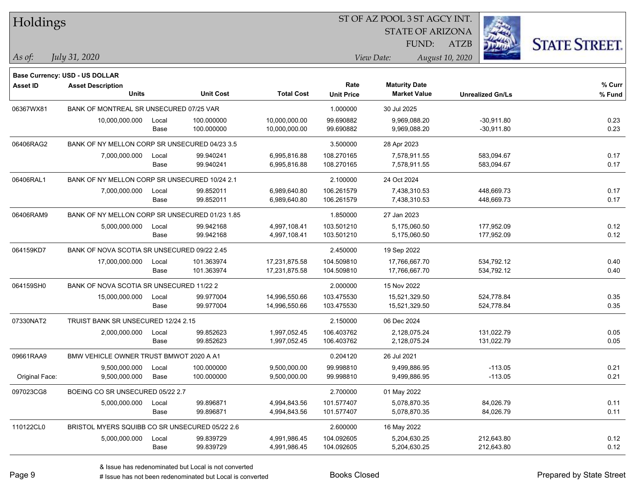| Holdings        |                                                |       |                  |                   | ST OF AZ POOL 3 ST AGCY INT. |                                             |                         |                      |  |  |
|-----------------|------------------------------------------------|-------|------------------|-------------------|------------------------------|---------------------------------------------|-------------------------|----------------------|--|--|
|                 |                                                |       |                  |                   |                              | <b>STATE OF ARIZONA</b>                     |                         |                      |  |  |
|                 |                                                |       |                  |                   |                              | FUND:                                       | <b>ATZB</b>             | <b>STATE STREET.</b> |  |  |
| $ As\;of:$      | July 31, 2020                                  |       |                  |                   |                              | View Date:                                  | August 10, 2020         |                      |  |  |
|                 |                                                |       |                  |                   |                              |                                             |                         |                      |  |  |
|                 | <b>Base Currency: USD - US DOLLAR</b>          |       |                  |                   |                              |                                             |                         |                      |  |  |
| <b>Asset ID</b> | <b>Asset Description</b><br><b>Units</b>       |       | <b>Unit Cost</b> | <b>Total Cost</b> | Rate<br><b>Unit Price</b>    | <b>Maturity Date</b><br><b>Market Value</b> | <b>Unrealized Gn/Ls</b> | % Curr<br>$%$ Fund   |  |  |
| 06367WX81       | BANK OF MONTREAL SR UNSECURED 07/25 VAR        |       |                  |                   |                              | 30 Jul 2025                                 |                         |                      |  |  |
|                 | 10,000,000.000                                 | Local | 100.000000       | 10,000,000.00     | 1.000000<br>99.690882        | 9,969,088.20                                | $-30,911.80$            | 0.23                 |  |  |
|                 |                                                | Base  | 100.000000       | 10,000,000.00     | 99.690882                    | 9,969,088.20                                | $-30,911.80$            | 0.23                 |  |  |
| 06406RAG2       | BANK OF NY MELLON CORP SR UNSECURED 04/23 3.5  |       |                  |                   | 3.500000                     | 28 Apr 2023                                 |                         |                      |  |  |
|                 | 7,000,000.000                                  | Local | 99.940241        | 6,995,816.88      | 108.270165                   | 7,578,911.55                                | 583,094.67              | 0.17                 |  |  |
|                 |                                                | Base  | 99.940241        | 6,995,816.88      | 108.270165                   | 7,578,911.55                                | 583,094.67              | 0.17                 |  |  |
| 06406RAL1       | BANK OF NY MELLON CORP SR UNSECURED 10/24 2.1  |       |                  |                   | 2.100000                     | 24 Oct 2024                                 |                         |                      |  |  |
|                 | 7,000,000.000                                  | Local | 99.852011        | 6,989,640.80      | 106.261579                   | 7,438,310.53                                | 448,669.73              | 0.17                 |  |  |
|                 |                                                | Base  | 99.852011        | 6,989,640.80      | 106.261579                   | 7,438,310.53                                | 448,669.73              | 0.17                 |  |  |
| 06406RAM9       | BANK OF NY MELLON CORP SR UNSECURED 01/23 1.85 |       |                  |                   | 1.850000                     | 27 Jan 2023                                 |                         |                      |  |  |
|                 | 5,000,000.000                                  | Local | 99.942168        | 4,997,108.41      | 103.501210                   | 5,175,060.50                                | 177,952.09              | 0.12                 |  |  |
|                 |                                                | Base  | 99.942168        | 4,997,108.41      | 103.501210                   | 5,175,060.50                                | 177,952.09              | 0.12                 |  |  |
| 064159KD7       | BANK OF NOVA SCOTIA SR UNSECURED 09/22 2.45    |       |                  |                   | 2.450000                     | 19 Sep 2022                                 |                         |                      |  |  |
|                 | 17,000,000.000                                 | Local | 101.363974       | 17,231,875.58     | 104.509810                   | 17,766,667.70                               | 534,792.12              | 0.40                 |  |  |
|                 |                                                | Base  | 101.363974       | 17,231,875.58     | 104.509810                   | 17,766,667.70                               | 534,792.12              | 0.40                 |  |  |
| 064159SH0       | BANK OF NOVA SCOTIA SR UNSECURED 11/22 2       |       |                  |                   | 2.000000                     | 15 Nov 2022                                 |                         |                      |  |  |
|                 | 15,000,000.000                                 | Local | 99.977004        | 14,996,550.66     | 103.475530                   | 15,521,329.50                               | 524,778.84              | 0.35                 |  |  |
|                 |                                                | Base  | 99.977004        | 14,996,550.66     | 103.475530                   | 15,521,329.50                               | 524,778.84              | 0.35                 |  |  |
| 07330NAT2       | TRUIST BANK SR UNSECURED 12/24 2.15            |       |                  |                   | 2.150000                     | 06 Dec 2024                                 |                         |                      |  |  |
|                 | 2,000,000.000                                  | Local | 99.852623        | 1,997,052.45      | 106.403762                   | 2,128,075.24                                | 131,022.79              | 0.05                 |  |  |
|                 |                                                | Base  | 99.852623        | 1,997,052.45      | 106.403762                   | 2,128,075.24                                | 131,022.79              | 0.05                 |  |  |
| 09661RAA9       | BMW VEHICLE OWNER TRUST BMWOT 2020 A A1        |       |                  |                   | 0.204120                     | 26 Jul 2021                                 |                         |                      |  |  |
|                 | 9,500,000.000                                  | Local | 100.000000       | 9,500,000.00      | 99.998810                    | 9,499,886.95                                | $-113.05$               | 0.21                 |  |  |
| Original Face:  | 9,500,000.000                                  | Base  | 100.000000       | 9,500,000.00      | 99.998810                    | 9,499,886.95                                | $-113.05$               | 0.21                 |  |  |
| 097023CG8       | BOEING CO SR UNSECURED 05/22 2.7               |       |                  |                   | 2.700000                     | 01 May 2022                                 |                         |                      |  |  |
|                 | 5,000,000.000                                  | Local | 99.896871        | 4,994,843.56      | 101.577407                   | 5,078,870.35                                | 84,026.79               | 0.11                 |  |  |
|                 |                                                | Base  | 99.896871        | 4,994,843.56      | 101.577407                   | 5,078,870.35                                | 84,026.79               | 0.11                 |  |  |
| 110122CL0       | BRISTOL MYERS SQUIBB CO SR UNSECURED 05/22 2.6 |       |                  |                   | 2.600000                     | 16 May 2022                                 |                         |                      |  |  |
|                 | 5,000,000.000                                  | Local | 99.839729        | 4,991,986.45      | 104.092605                   | 5,204,630.25                                | 212,643.80              | 0.12                 |  |  |
|                 |                                                | Base  | 99.839729        | 4,991,986.45      | 104.092605                   | 5,204,630.25                                | 212,643.80              | 0.12                 |  |  |

denote the redenominated but Local is converted Books Closed Prepared by State Street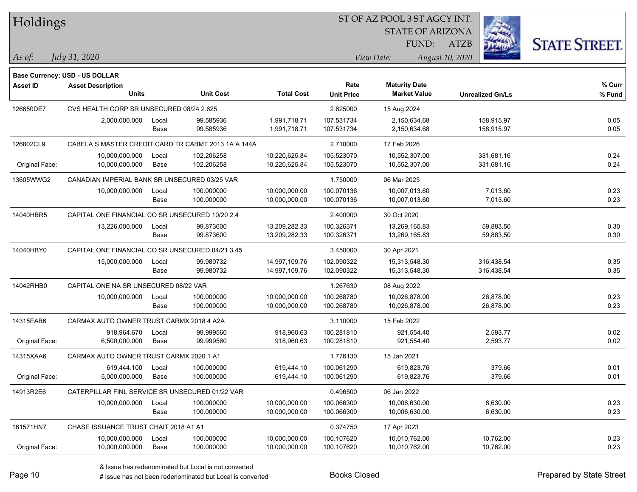| 1 IUIUII 150    |                                                  |       |                                                     |                   |                   |             | <b>STATE OF ARIZONA</b> |                 |                         |                      |
|-----------------|--------------------------------------------------|-------|-----------------------------------------------------|-------------------|-------------------|-------------|-------------------------|-----------------|-------------------------|----------------------|
|                 |                                                  |       |                                                     |                   |                   |             | FUND:                   | <b>ATZB</b>     |                         | <b>STATE STREET.</b> |
| As of:          | July 31, 2020                                    |       |                                                     |                   |                   | View Date:  |                         | August 10, 2020 |                         |                      |
|                 | <b>Base Currency: USD - US DOLLAR</b>            |       |                                                     |                   |                   |             |                         |                 |                         |                      |
| <b>Asset ID</b> | <b>Asset Description</b>                         |       |                                                     |                   | Rate              |             | <b>Maturity Date</b>    |                 |                         | % Curr               |
|                 | <b>Units</b>                                     |       | <b>Unit Cost</b>                                    | <b>Total Cost</b> | <b>Unit Price</b> |             | <b>Market Value</b>     |                 | <b>Unrealized Gn/Ls</b> | % Fund               |
| 126650DE7       | CVS HEALTH CORP SR UNSECURED 08/24 2.625         |       |                                                     |                   | 2.625000          | 15 Aug 2024 |                         |                 |                         |                      |
|                 | 2,000,000.000                                    | Local | 99.585936                                           | 1,991,718.71      | 107.531734        |             | 2,150,634.68            |                 | 158,915.97              | 0.05                 |
|                 |                                                  | Base  | 99.585936                                           | 1,991,718.71      | 107.531734        |             | 2,150,634.68            |                 | 158,915.97              | 0.05                 |
| 126802CL9       |                                                  |       | CABELA S MASTER CREDIT CARD TR CABMT 2013 1A A 144A |                   | 2.710000          | 17 Feb 2026 |                         |                 |                         |                      |
|                 | 10,000,000.000                                   | Local | 102.206258                                          | 10,220,625.84     | 105.523070        |             | 10,552,307.00           |                 | 331,681.16              | 0.24                 |
| Original Face:  | 10,000,000.000                                   | Base  | 102.206258                                          | 10,220,625.84     | 105.523070        |             | 10,552,307.00           |                 | 331,681.16              | 0.24                 |
| 13605WWG2       | CANADIAN IMPERIAL BANK SR UNSECURED 03/25 VAR    |       |                                                     |                   | 1.750000          | 06 Mar 2025 |                         |                 |                         |                      |
|                 | 10,000,000.000                                   | Local | 100.000000                                          | 10,000,000.00     | 100.070136        |             | 10,007,013.60           |                 | 7,013.60                | 0.23                 |
|                 |                                                  | Base  | 100.000000                                          | 10,000,000.00     | 100.070136        |             | 10,007,013.60           |                 | 7,013.60                | 0.23                 |
| 14040HBR5       | CAPITAL ONE FINANCIAL CO SR UNSECURED 10/20 2.4  |       |                                                     |                   | 2.400000          | 30 Oct 2020 |                         |                 |                         |                      |
|                 | 13,226,000.000                                   | Local | 99.873600                                           | 13,209,282.33     | 100.326371        |             | 13,269,165.83           |                 | 59,883.50               | 0.30                 |
|                 |                                                  | Base  | 99.873600                                           | 13,209,282.33     | 100.326371        |             | 13,269,165.83           |                 | 59,883.50               | 0.30                 |
| 14040HBY0       | CAPITAL ONE FINANCIAL CO SR UNSECURED 04/21 3.45 |       |                                                     |                   | 3.450000          | 30 Apr 2021 |                         |                 |                         |                      |
|                 | 15,000,000.000                                   | Local | 99.980732                                           | 14,997,109.76     | 102.090322        |             | 15,313,548.30           |                 | 316,438.54              | 0.35                 |
|                 |                                                  | Base  | 99.980732                                           | 14,997,109.76     | 102.090322        |             | 15,313,548.30           |                 | 316,438.54              | 0.35                 |
| 14042RHB0       | CAPITAL ONE NA SR UNSECURED 08/22 VAR            |       |                                                     |                   | 1.267630          | 08 Aug 2022 |                         |                 |                         |                      |
|                 | 10,000,000.000                                   | Local | 100.000000                                          | 10,000,000.00     | 100.268780        |             | 10,026,878.00           |                 | 26,878.00               | 0.23                 |
|                 |                                                  | Base  | 100.000000                                          | 10,000,000.00     | 100.268780        |             | 10,026,878.00           |                 | 26,878.00               | 0.23                 |
| 14315EAB6       | CARMAX AUTO OWNER TRUST CARMX 2018 4 A2A         |       |                                                     |                   | 3.110000          | 15 Feb 2022 |                         |                 |                         |                      |
|                 | 918,964.670                                      | Local | 99.999560                                           | 918,960.63        | 100.281810        |             | 921,554.40              |                 | 2,593.77                | 0.02                 |
| Original Face:  | 6,500,000.000                                    | Base  | 99.999560                                           | 918,960.63        | 100.281810        |             | 921,554.40              |                 | 2,593.77                | 0.02                 |
| 14315XAA6       | CARMAX AUTO OWNER TRUST CARMX 2020 1 A1          |       |                                                     |                   | 1.776130          | 15 Jan 2021 |                         |                 |                         |                      |
|                 | 619,444.100                                      | Local | 100.000000                                          | 619,444.10        | 100.061290        |             | 619,823.76              |                 | 379.66                  | 0.01                 |
| Original Face:  | 5,000,000.000                                    | Base  | 100.000000                                          | 619,444.10        | 100.061290        |             | 619,823.76              |                 | 379.66                  | 0.01                 |
| 14913R2E6       | CATERPILLAR FINL SERVICE SR UNSECURED 01/22 VAR  |       |                                                     |                   | 0.496500          | 06 Jan 2022 |                         |                 |                         |                      |
|                 | 10,000,000.000                                   | Local | 100.000000                                          | 10,000,000.00     | 100.066300        |             | 10,006,630.00           |                 | 6,630.00                | 0.23                 |
|                 |                                                  | Base  | 100.000000                                          | 10,000,000.00     | 100.066300        |             | 10,006,630.00           |                 | 6,630.00                | 0.23                 |
| 161571HN7       | CHASE ISSUANCE TRUST CHAIT 2018 A1 A1            |       |                                                     |                   | 0.374750          | 17 Apr 2023 |                         |                 |                         |                      |
|                 | 10,000,000.000                                   | Local | 100.000000                                          | 10,000,000.00     | 100.107620        |             | 10,010,762.00           |                 | 10,762.00               | 0.23                 |
| Original Face:  | 10,000,000.000                                   | Base  | 100.000000                                          | 10,000,000.00     | 100.107620        |             | 10,010,762.00           |                 | 10,762.00               | 0.23                 |

-

 $\overline{\phantom{0}}$ 

<u>.</u>



# Holdings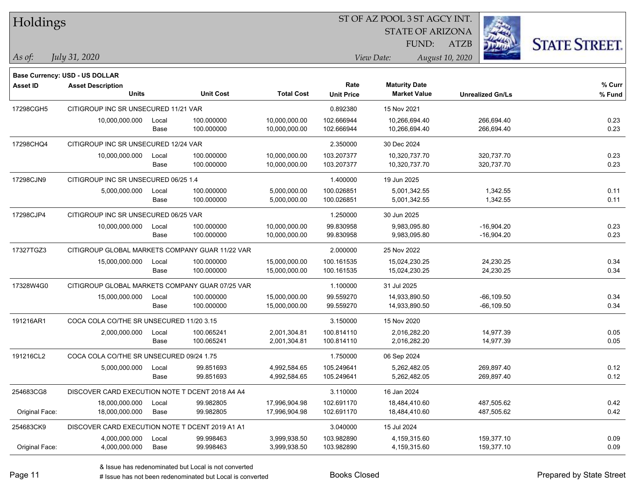| Holdings        |                                                 |       | ST OF AZ POOL 3 ST AGCY INT. |                   |                   |             |                         |                 |                         |                      |
|-----------------|-------------------------------------------------|-------|------------------------------|-------------------|-------------------|-------------|-------------------------|-----------------|-------------------------|----------------------|
|                 |                                                 |       |                              |                   |                   |             | <b>STATE OF ARIZONA</b> |                 |                         |                      |
|                 |                                                 |       |                              |                   |                   |             | FUND:                   | <b>ATZB</b>     |                         | <b>STATE STREET.</b> |
| As of:          | July 31, 2020                                   |       |                              |                   |                   | View Date:  |                         | August 10, 2020 |                         |                      |
|                 | <b>Base Currency: USD - US DOLLAR</b>           |       |                              |                   |                   |             |                         |                 |                         |                      |
| <b>Asset ID</b> | <b>Asset Description</b>                        |       |                              |                   | Rate              |             | <b>Maturity Date</b>    |                 |                         | % Curr               |
|                 | <b>Units</b>                                    |       | <b>Unit Cost</b>             | <b>Total Cost</b> | <b>Unit Price</b> |             | <b>Market Value</b>     |                 | <b>Unrealized Gn/Ls</b> | % Fund               |
| 17298CGH5       | CITIGROUP INC SR UNSECURED 11/21 VAR            |       |                              |                   | 0.892380          | 15 Nov 2021 |                         |                 |                         |                      |
|                 | 10,000,000.000                                  | Local | 100.000000                   | 10,000,000.00     | 102.666944        |             | 10,266,694.40           |                 | 266,694.40              | 0.23                 |
|                 |                                                 | Base  | 100.000000                   | 10,000,000.00     | 102.666944        |             | 10,266,694.40           |                 | 266,694.40              | 0.23                 |
| 17298CHQ4       | CITIGROUP INC SR UNSECURED 12/24 VAR            |       |                              |                   | 2.350000          | 30 Dec 2024 |                         |                 |                         |                      |
|                 | 10,000,000.000                                  | Local | 100.000000                   | 10,000,000.00     | 103.207377        |             | 10,320,737.70           |                 | 320,737.70              | 0.23                 |
|                 |                                                 | Base  | 100.000000                   | 10,000,000.00     | 103.207377        |             | 10,320,737.70           |                 | 320,737.70              | 0.23                 |
| 17298CJN9       | CITIGROUP INC SR UNSECURED 06/25 1.4            |       |                              |                   | 1.400000          | 19 Jun 2025 |                         |                 |                         |                      |
|                 | 5,000,000.000                                   | Local | 100.000000                   | 5,000,000.00      | 100.026851        |             | 5,001,342.55            |                 | 1,342.55                | 0.11                 |
|                 |                                                 | Base  | 100.000000                   | 5,000,000.00      | 100.026851        |             | 5,001,342.55            |                 | 1,342.55                | 0.11                 |
| 17298CJP4       | CITIGROUP INC SR UNSECURED 06/25 VAR            |       |                              |                   | 1.250000          | 30 Jun 2025 |                         |                 |                         |                      |
|                 | 10,000,000.000                                  | Local | 100.000000                   | 10,000,000.00     | 99.830958         |             | 9,983,095.80            |                 | $-16,904.20$            | 0.23                 |
|                 |                                                 | Base  | 100.000000                   | 10,000,000.00     | 99.830958         |             | 9,983,095.80            |                 | $-16,904.20$            | 0.23                 |
| 17327TGZ3       | CITIGROUP GLOBAL MARKETS COMPANY GUAR 11/22 VAR |       |                              |                   | 2.000000          | 25 Nov 2022 |                         |                 |                         |                      |
|                 | 15,000,000.000                                  | Local | 100.000000                   | 15,000,000.00     | 100.161535        |             | 15,024,230.25           |                 | 24,230.25               | 0.34                 |
|                 |                                                 | Base  | 100.000000                   | 15,000,000.00     | 100.161535        |             | 15,024,230.25           |                 | 24,230.25               | 0.34                 |
| 17328W4G0       | CITIGROUP GLOBAL MARKETS COMPANY GUAR 07/25 VAR |       |                              |                   | 1.100000          | 31 Jul 2025 |                         |                 |                         |                      |
|                 | 15,000,000.000                                  | Local | 100.000000                   | 15,000,000.00     | 99.559270         |             | 14,933,890.50           |                 | $-66, 109.50$           | 0.34                 |
|                 |                                                 | Base  | 100.000000                   | 15,000,000.00     | 99.559270         |             | 14,933,890.50           |                 | $-66, 109.50$           | 0.34                 |
| 191216AR1       | COCA COLA CO/THE SR UNSECURED 11/20 3.15        |       |                              |                   | 3.150000          | 15 Nov 2020 |                         |                 |                         |                      |
|                 | 2,000,000.000                                   | Local | 100.065241                   | 2,001,304.81      | 100.814110        |             | 2,016,282.20            |                 | 14,977.39               | 0.05                 |
|                 |                                                 | Base  | 100.065241                   | 2,001,304.81      | 100.814110        |             | 2,016,282.20            |                 | 14,977.39               | 0.05                 |
| 191216CL2       | COCA COLA CO/THE SR UNSECURED 09/24 1.75        |       |                              |                   | 1.750000          | 06 Sep 2024 |                         |                 |                         |                      |
|                 | 5,000,000.000                                   | Local | 99.851693                    | 4,992,584.65      | 105.249641        |             | 5,262,482.05            |                 | 269,897.40              | 0.12                 |
|                 |                                                 | Base  | 99.851693                    | 4,992,584.65      | 105.249641        |             | 5,262,482.05            |                 | 269,897.40              | 0.12                 |
| 254683CG8       | DISCOVER CARD EXECUTION NOTE T DCENT 2018 A4 A4 |       |                              |                   | 3.110000          | 16 Jan 2024 |                         |                 |                         |                      |
|                 | 18,000,000.000                                  | Local | 99.982805                    | 17,996,904.98     | 102.691170        |             | 18,484,410.60           |                 | 487,505.62              | 0.42                 |
| Original Face:  | 18,000,000.000                                  | Base  | 99.982805                    | 17,996,904.98     | 102.691170        |             | 18,484,410.60           |                 | 487,505.62              | 0.42                 |
| 254683CK9       | DISCOVER CARD EXECUTION NOTE T DCENT 2019 A1 A1 |       |                              |                   | 3.040000          | 15 Jul 2024 |                         |                 |                         |                      |
|                 | 4,000,000.000                                   | Local | 99.998463                    | 3,999,938.50      | 103.982890        |             | 4,159,315.60            |                 | 159,377.10              | 0.09                 |
| Original Face:  | 4,000,000.000                                   | Base  | 99.998463                    | 3,999,938.50      | 103.982890        |             | 4,159,315.60            |                 | 159,377.10              | 0.09                 |

 $\overline{a}$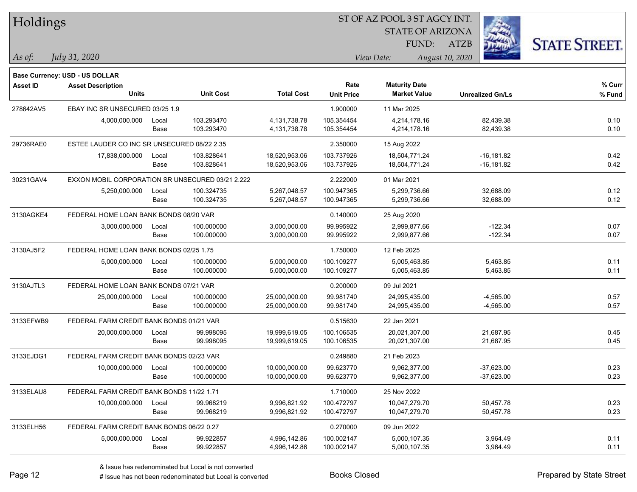| Holdings  |                                                  |       |                  |                   |                           | ST OF AZ POOL 3 ST AGCY INT.                |                         |                      |
|-----------|--------------------------------------------------|-------|------------------|-------------------|---------------------------|---------------------------------------------|-------------------------|----------------------|
|           |                                                  |       |                  |                   |                           | <b>STATE OF ARIZONA</b>                     |                         |                      |
|           |                                                  |       |                  |                   |                           | FUND:                                       | <b>ATZB</b>             | <b>STATE STREET.</b> |
| As of:    | July 31, 2020                                    |       |                  |                   |                           | View Date:                                  | August 10, 2020         |                      |
|           |                                                  |       |                  |                   |                           |                                             |                         |                      |
|           | Base Currency: USD - US DOLLAR                   |       |                  |                   |                           |                                             |                         |                      |
| Asset ID  | <b>Asset Description</b><br>Units                |       | <b>Unit Cost</b> | <b>Total Cost</b> | Rate<br><b>Unit Price</b> | <b>Maturity Date</b><br><b>Market Value</b> | <b>Unrealized Gn/Ls</b> | % Curr<br>$%$ Fund   |
| 278642AV5 | EBAY INC SR UNSECURED 03/25 1.9                  |       |                  |                   | 1.900000                  | 11 Mar 2025                                 |                         |                      |
|           | 4,000,000.000                                    | Local | 103.293470       | 4,131,738.78      | 105.354454                | 4,214,178.16                                | 82,439.38               | 0.10                 |
|           |                                                  | Base  | 103.293470       | 4,131,738.78      | 105.354454                | 4,214,178.16                                | 82,439.38               | 0.10                 |
| 29736RAE0 | ESTEE LAUDER CO INC SR UNSECURED 08/22 2.35      |       |                  |                   | 2.350000                  | 15 Aug 2022                                 |                         |                      |
|           | 17,838,000.000                                   | Local | 103.828641       | 18,520,953.06     | 103.737926                | 18,504,771.24                               | $-16, 181.82$           | 0.42                 |
|           |                                                  | Base  | 103.828641       | 18,520,953.06     | 103.737926                | 18,504,771.24                               | -16,181.82              | 0.42                 |
| 30231GAV4 | EXXON MOBIL CORPORATION SR UNSECURED 03/21 2.222 |       |                  |                   | 2.222000                  | 01 Mar 2021                                 |                         |                      |
|           | 5,250,000.000                                    | Local | 100.324735       | 5,267,048.57      | 100.947365                | 5,299,736.66                                | 32,688.09               | 0.12                 |
|           |                                                  | Base  | 100.324735       | 5,267,048.57      | 100.947365                | 5,299,736.66                                | 32,688.09               | 0.12                 |
| 3130AGKE4 | FEDERAL HOME LOAN BANK BONDS 08/20 VAR           |       |                  |                   | 0.140000                  | 25 Aug 2020                                 |                         |                      |
|           | 3,000,000.000                                    | Local | 100.000000       | 3,000,000.00      | 99.995922                 | 2,999,877.66                                | $-122.34$               | 0.07                 |
|           |                                                  | Base  | 100.000000       | 3,000,000.00      | 99.995922                 | 2,999,877.66                                | $-122.34$               | 0.07                 |
| 3130AJ5F2 | FEDERAL HOME LOAN BANK BONDS 02/25 1.75          |       |                  |                   | 1.750000                  | 12 Feb 2025                                 |                         |                      |
|           | 5,000,000.000                                    | Local | 100.000000       | 5,000,000.00      | 100.109277                | 5,005,463.85                                | 5,463.85                | 0.11                 |
|           |                                                  | Base  | 100.000000       | 5,000,000.00      | 100.109277                | 5,005,463.85                                | 5,463.85                | 0.11                 |
| 3130AJTL3 | FEDERAL HOME LOAN BANK BONDS 07/21 VAR           |       |                  |                   | 0.200000                  | 09 Jul 2021                                 |                         |                      |
|           | 25,000,000.000                                   | Local | 100.000000       | 25,000,000.00     | 99.981740                 | 24,995,435.00                               | $-4,565.00$             | 0.57                 |
|           |                                                  | Base  | 100.000000       | 25,000,000.00     | 99.981740                 | 24,995,435.00                               | $-4,565.00$             | 0.57                 |
| 3133EFWB9 | FEDERAL FARM CREDIT BANK BONDS 01/21 VAR         |       |                  |                   | 0.515630                  | 22 Jan 2021                                 |                         |                      |
|           | 20,000,000.000                                   | Local | 99.998095        | 19,999,619.05     | 100.106535                | 20,021,307.00                               | 21,687.95               | 0.45                 |
|           |                                                  | Base  | 99.998095        | 19,999,619.05     | 100.106535                | 20,021,307.00                               | 21,687.95               | 0.45                 |
| 3133EJDG1 | FEDERAL FARM CREDIT BANK BONDS 02/23 VAR         |       |                  |                   | 0.249880                  | 21 Feb 2023                                 |                         |                      |
|           | 10,000,000.000                                   | Local | 100.000000       | 10,000,000.00     | 99.623770                 | 9,962,377.00                                | $-37,623.00$            | 0.23                 |
|           |                                                  | Base  | 100.000000       | 10,000,000.00     | 99.623770                 | 9,962,377.00                                | $-37,623.00$            | 0.23                 |
| 3133ELAU8 | FEDERAL FARM CREDIT BANK BONDS 11/22 1.71        |       |                  |                   | 1.710000                  | 25 Nov 2022                                 |                         |                      |
|           | 10,000,000.000                                   | Local | 99.968219        | 9,996,821.92      | 100.472797                | 10,047,279.70                               | 50,457.78               | 0.23                 |
|           |                                                  | Base  | 99.968219        | 9,996,821.92      | 100.472797                | 10,047,279.70                               | 50,457.78               | 0.23                 |
| 3133ELH56 | FEDERAL FARM CREDIT BANK BONDS 06/22 0.27        |       |                  |                   | 0.270000                  | 09 Jun 2022                                 |                         |                      |
|           | 5,000,000.000                                    | Local | 99.922857        | 4,996,142.86      | 100.002147                | 5,000,107.35                                | 3,964.49                | 0.11                 |
|           |                                                  | Base  | 99.922857        | 4,996,142.86      | 100.002147                | 5,000,107.35                                | 3,964.49                | 0.11                 |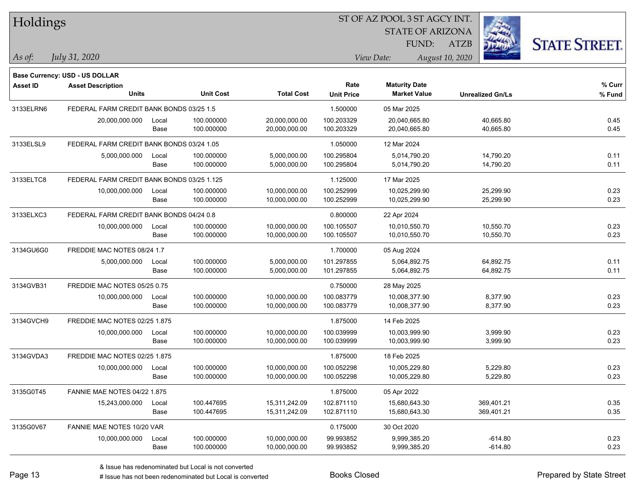| Holdings        |                                            |       |                  |                   |                   |                         |                         |                      |
|-----------------|--------------------------------------------|-------|------------------|-------------------|-------------------|-------------------------|-------------------------|----------------------|
|                 |                                            |       |                  |                   |                   | <b>STATE OF ARIZONA</b> |                         |                      |
|                 |                                            |       |                  |                   |                   | FUND:                   | <b>ATZB</b>             | <b>STATE STREET.</b> |
| As of:          | July 31, 2020                              |       |                  |                   |                   | View Date:              | August 10, 2020         |                      |
|                 | Base Currency: USD - US DOLLAR             |       |                  |                   |                   |                         |                         |                      |
| <b>Asset ID</b> | <b>Asset Description</b>                   |       |                  |                   | Rate              | <b>Maturity Date</b>    |                         | % Curr               |
|                 | <b>Units</b>                               |       | <b>Unit Cost</b> | <b>Total Cost</b> | <b>Unit Price</b> | <b>Market Value</b>     | <b>Unrealized Gn/Ls</b> | % Fund               |
| 3133ELRN6       | FEDERAL FARM CREDIT BANK BONDS 03/25 1.5   |       |                  |                   | 1.500000          | 05 Mar 2025             |                         |                      |
|                 | 20,000,000.000                             | Local | 100.000000       | 20,000,000.00     | 100.203329        | 20,040,665.80           | 40,665.80               | 0.45                 |
|                 |                                            | Base  | 100.000000       | 20,000,000.00     | 100.203329        | 20,040,665.80           | 40,665.80               | 0.45                 |
| 3133ELSL9       | FEDERAL FARM CREDIT BANK BONDS 03/24 1.05  |       |                  |                   | 1.050000          | 12 Mar 2024             |                         |                      |
|                 | 5,000,000.000                              | Local | 100.000000       | 5,000,000.00      | 100.295804        | 5,014,790.20            | 14,790.20               | 0.11                 |
|                 |                                            | Base  | 100.000000       | 5,000,000.00      | 100.295804        | 5,014,790.20            | 14,790.20               | 0.11                 |
| 3133ELTC8       | FEDERAL FARM CREDIT BANK BONDS 03/25 1.125 |       |                  |                   | 1.125000          | 17 Mar 2025             |                         |                      |
|                 | 10,000,000.000                             | Local | 100.000000       | 10,000,000.00     | 100.252999        | 10,025,299.90           | 25,299.90               | 0.23                 |
|                 |                                            | Base  | 100.000000       | 10,000,000.00     | 100.252999        | 10,025,299.90           | 25,299.90               | 0.23                 |
| 3133ELXC3       | FEDERAL FARM CREDIT BANK BONDS 04/24 0.8   |       |                  |                   | 0.800000          | 22 Apr 2024             |                         |                      |
|                 | 10,000,000.000                             | Local | 100.000000       | 10,000,000.00     | 100.105507        | 10,010,550.70           | 10,550.70               | 0.23                 |
|                 |                                            | Base  | 100.000000       | 10,000,000.00     | 100.105507        | 10,010,550.70           | 10,550.70               | 0.23                 |
| 3134GU6G0       | FREDDIE MAC NOTES 08/24 1.7                |       |                  |                   | 1.700000          | 05 Aug 2024             |                         |                      |
|                 | 5,000,000.000                              | Local | 100.000000       | 5,000,000.00      | 101.297855        | 5,064,892.75            | 64,892.75               | 0.11                 |
|                 |                                            | Base  | 100.000000       | 5,000,000.00      | 101.297855        | 5,064,892.75            | 64,892.75               | 0.11                 |
| 3134GVB31       | FREDDIE MAC NOTES 05/25 0.75               |       |                  |                   | 0.750000          | 28 May 2025             |                         |                      |
|                 | 10,000,000.000                             | Local | 100.000000       | 10,000,000.00     | 100.083779        | 10,008,377.90           | 8,377.90                | 0.23                 |
|                 |                                            | Base  | 100.000000       | 10,000,000.00     | 100.083779        | 10,008,377.90           | 8,377.90                | 0.23                 |
| 3134GVCH9       | FREDDIE MAC NOTES 02/25 1.875              |       |                  |                   | 1.875000          | 14 Feb 2025             |                         |                      |
|                 | 10,000,000.000                             | Local | 100.000000       | 10,000,000.00     | 100.039999        | 10,003,999.90           | 3,999.90                | 0.23                 |
|                 |                                            | Base  | 100.000000       | 10,000,000.00     | 100.039999        | 10,003,999.90           | 3,999.90                | 0.23                 |
| 3134GVDA3       | FREDDIE MAC NOTES 02/25 1.875              |       |                  |                   | 1.875000          | 18 Feb 2025             |                         |                      |
|                 | 10,000,000.000                             | Local | 100.000000       | 10,000,000.00     | 100.052298        | 10,005,229.80           | 5,229.80                | 0.23                 |
|                 |                                            | Base  | 100.000000       | 10,000,000.00     | 100.052298        | 10,005,229.80           | 5,229.80                | 0.23                 |
| 3135G0T45       | <b>FANNIE MAE NOTES 04/22 1.875</b>        |       |                  |                   | 1.875000          | 05 Apr 2022             |                         |                      |
|                 | 15,243,000.000                             | Local | 100.447695       | 15,311,242.09     | 102.871110        | 15,680,643.30           | 369,401.21              | 0.35                 |
|                 |                                            | Base  | 100.447695       | 15,311,242.09     | 102.871110        | 15,680,643.30           | 369,401.21              | 0.35                 |
| 3135G0V67       | FANNIE MAE NOTES 10/20 VAR                 |       |                  |                   | 0.175000          | 30 Oct 2020             |                         |                      |
|                 | 10,000,000.000                             | Local | 100.000000       | 10,000,000.00     | 99.993852         | 9,999,385.20            | $-614.80$               | 0.23                 |
|                 |                                            | Base  | 100.000000       | 10,000,000.00     | 99.993852         | 9,999,385.20            | $-614.80$               | 0.23                 |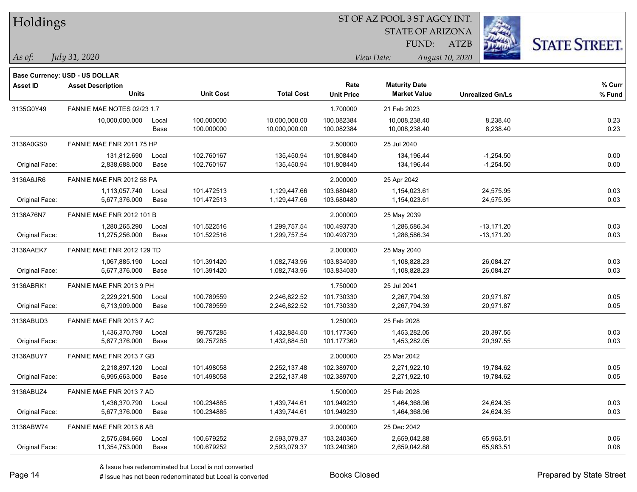| Holdings |  |
|----------|--|
|          |  |

STATE OF ARIZONA FUND:

ATZB



*As of: View Date: August 10, 2020*

| As of: |  | July 31, 2020 |
|--------|--|---------------|
|        |  |               |

|                | Base Currency: USD - US DOLLAR |       |                  |                   |                   |                      |                         |        |
|----------------|--------------------------------|-------|------------------|-------------------|-------------------|----------------------|-------------------------|--------|
| Asset ID       | <b>Asset Description</b>       |       |                  |                   | Rate              | <b>Maturity Date</b> |                         | % Curr |
|                | <b>Units</b>                   |       | <b>Unit Cost</b> | <b>Total Cost</b> | <b>Unit Price</b> | <b>Market Value</b>  | <b>Unrealized Gn/Ls</b> | % Fund |
| 3135G0Y49      | FANNIE MAE NOTES 02/23 1.7     |       |                  |                   | 1.700000          | 21 Feb 2023          |                         |        |
|                | 10,000,000.000                 | Local | 100.000000       | 10,000,000.00     | 100.082384        | 10,008,238.40        | 8,238.40                | 0.23   |
|                |                                | Base  | 100.000000       | 10,000,000.00     | 100.082384        | 10,008,238.40        | 8,238.40                | 0.23   |
| 3136A0GS0      | FANNIE MAE FNR 2011 75 HP      |       |                  |                   | 2.500000          | 25 Jul 2040          |                         |        |
|                | 131,812.690                    | Local | 102.760167       | 135,450.94        | 101.808440        | 134,196.44           | $-1,254.50$             | 0.00   |
| Original Face: | 2,838,688.000                  | Base  | 102.760167       | 135,450.94        | 101.808440        | 134,196.44           | $-1,254.50$             | 0.00   |
| 3136A6JR6      | FANNIE MAE FNR 2012 58 PA      |       |                  |                   | 2.000000          | 25 Apr 2042          |                         |        |
|                | 1,113,057.740                  | Local | 101.472513       | 1,129,447.66      | 103.680480        | 1,154,023.61         | 24,575.95               | 0.03   |
| Original Face: | 5,677,376.000                  | Base  | 101.472513       | 1,129,447.66      | 103.680480        | 1,154,023.61         | 24,575.95               | 0.03   |
| 3136A76N7      | FANNIE MAE FNR 2012 101 B      |       |                  |                   | 2.000000          | 25 May 2039          |                         |        |
|                | 1,280,265.290                  | Local | 101.522516       | 1,299,757.54      | 100.493730        | 1,286,586.34         | $-13,171.20$            | 0.03   |
| Original Face: | 11,275,256.000                 | Base  | 101.522516       | 1,299,757.54      | 100.493730        | 1,286,586.34         | $-13,171.20$            | 0.03   |
| 3136AAEK7      | FANNIE MAE FNR 2012 129 TD     |       |                  |                   | 2.000000          | 25 May 2040          |                         |        |
|                | 1,067,885.190                  | Local | 101.391420       | 1,082,743.96      | 103.834030        | 1,108,828.23         | 26,084.27               | 0.03   |
| Original Face: | 5,677,376.000                  | Base  | 101.391420       | 1,082,743.96      | 103.834030        | 1,108,828.23         | 26,084.27               | 0.03   |
| 3136ABRK1      | FANNIE MAE FNR 2013 9 PH       |       |                  |                   | 1.750000          | 25 Jul 2041          |                         |        |
|                | 2,229,221.500                  | Local | 100.789559       | 2,246,822.52      | 101.730330        | 2,267,794.39         | 20,971.87               | 0.05   |
| Original Face: | 6,713,909.000                  | Base  | 100.789559       | 2,246,822.52      | 101.730330        | 2,267,794.39         | 20,971.87               | 0.05   |
| 3136ABUD3      | FANNIE MAE FNR 2013 7 AC       |       |                  |                   | 1.250000          | 25 Feb 2028          |                         |        |
|                | 1,436,370.790                  | Local | 99.757285        | 1,432,884.50      | 101.177360        | 1,453,282.05         | 20,397.55               | 0.03   |
| Original Face: | 5,677,376.000                  | Base  | 99.757285        | 1,432,884.50      | 101.177360        | 1,453,282.05         | 20,397.55               | 0.03   |
| 3136ABUY7      | FANNIE MAE FNR 2013 7 GB       |       |                  |                   | 2.000000          | 25 Mar 2042          |                         |        |
|                | 2,218,897.120                  | Local | 101.498058       | 2,252,137.48      | 102.389700        | 2,271,922.10         | 19,784.62               | 0.05   |
| Original Face: | 6,995,663.000                  | Base  | 101.498058       | 2,252,137.48      | 102.389700        | 2,271,922.10         | 19,784.62               | 0.05   |
| 3136ABUZ4      | FANNIE MAE FNR 2013 7 AD       |       |                  |                   | 1.500000          | 25 Feb 2028          |                         |        |
|                | 1,436,370.790                  | Local | 100.234885       | 1,439,744.61      | 101.949230        | 1,464,368.96         | 24,624.35               | 0.03   |
| Original Face: | 5,677,376.000                  | Base  | 100.234885       | 1,439,744.61      | 101.949230        | 1,464,368.96         | 24,624.35               | 0.03   |
| 3136ABW74      | FANNIE MAE FNR 2013 6 AB       |       |                  |                   | 2.000000          | 25 Dec 2042          |                         |        |
|                | 2,575,584.660                  | Local | 100.679252       | 2,593,079.37      | 103.240360        | 2,659,042.88         | 65,963.51               | 0.06   |
| Original Face: | 11,354,753.000                 | Base  | 100.679252       | 2,593,079.37      | 103.240360        | 2,659,042.88         | 65,963.51               | 0.06   |
|                |                                |       |                  |                   |                   |                      |                         |        |

& Issue has redenominated but Local is not converted

# Issue has not been redenominated but Local is converted Books Closed Prepared by State Street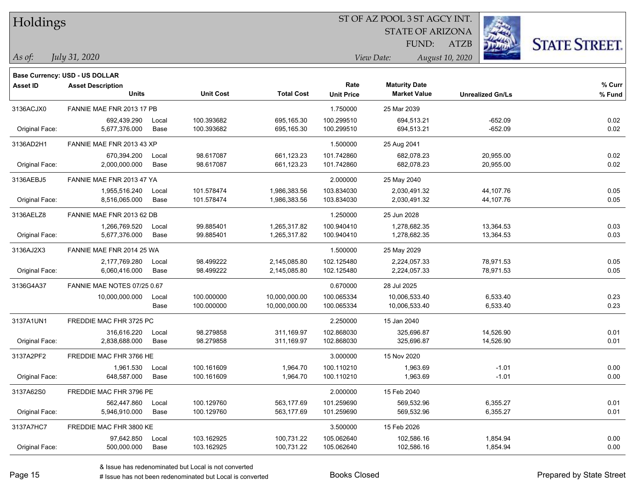| Holdings |  |  |
|----------|--|--|
|          |  |  |

STATE OF ARIZONA FUND:

ATZB



| As of: | July 31, 2020 |
|--------|---------------|
|        |               |

| <b>Asset ID</b> | <b>Asset Description</b><br><b>Units</b> |                      | <b>Unit Cost</b>         | <b>Total Cost</b>              | Rate<br><b>Unit Price</b> | <b>Maturity Date</b><br><b>Market Value</b> | <b>Unrealized Gn/Ls</b> | % Curr<br>% Fund |
|-----------------|------------------------------------------|----------------------|--------------------------|--------------------------------|---------------------------|---------------------------------------------|-------------------------|------------------|
| 3136ACJX0       | FANNIE MAE FNR 2013 17 PB                |                      |                          |                                | 1.750000                  | 25 Mar 2039                                 |                         |                  |
| Original Face:  | 692,439.290<br>5,677,376.000             | Local<br>Base        | 100.393682<br>100.393682 | 695,165.30<br>695,165.30       | 100.299510<br>100.299510  | 694,513.21<br>694,513.21                    | $-652.09$<br>$-652.09$  | 0.02<br>0.02     |
| 3136AD2H1       | FANNIE MAE FNR 2013 43 XP                |                      |                          |                                | 1.500000                  | 25 Aug 2041                                 |                         |                  |
| Original Face:  | 670.394.200<br>2,000,000.000             | Local<br><b>Base</b> | 98.617087<br>98.617087   | 661,123.23<br>661,123.23       | 101.742860<br>101.742860  | 682,078.23<br>682,078.23                    | 20,955.00<br>20,955.00  | 0.02<br>0.02     |
| 3136AEBJ5       | FANNIE MAE FNR 2013 47 YA                |                      |                          |                                | 2.000000                  | 25 May 2040                                 |                         |                  |
| Original Face:  | 1,955,516.240<br>8,516,065.000           | Local<br><b>Base</b> | 101.578474<br>101.578474 | 1,986,383.56<br>1,986,383.56   | 103.834030<br>103.834030  | 2,030,491.32<br>2,030,491.32                | 44,107.76<br>44,107.76  | 0.05<br>0.05     |
| 3136AELZ8       | FANNIE MAE FNR 2013 62 DB                |                      |                          |                                | 1.250000                  | 25 Jun 2028                                 |                         |                  |
| Original Face:  | 1,266,769.520<br>5,677,376.000           | Local<br>Base        | 99.885401<br>99.885401   | 1,265,317.82<br>1,265,317.82   | 100.940410<br>100.940410  | 1,278,682.35<br>1,278,682.35                | 13,364.53<br>13,364.53  | 0.03<br>0.03     |
| 3136AJ2X3       | FANNIE MAE FNR 2014 25 WA                |                      |                          |                                | 1.500000                  | 25 May 2029                                 |                         |                  |
| Original Face:  | 2,177,769.280<br>6,060,416.000           | Local<br>Base        | 98.499222<br>98.499222   | 2,145,085.80<br>2,145,085.80   | 102.125480<br>102.125480  | 2,224,057.33<br>2,224,057.33                | 78,971.53<br>78,971.53  | 0.05<br>0.05     |
| 3136G4A37       | FANNIE MAE NOTES 07/25 0.67              |                      |                          |                                | 0.670000                  | 28 Jul 2025                                 |                         |                  |
|                 | 10,000,000.000                           | Local<br>Base        | 100.000000<br>100.000000 | 10,000,000.00<br>10,000,000.00 | 100.065334<br>100.065334  | 10,006,533.40<br>10,006,533.40              | 6,533.40<br>6,533.40    | 0.23<br>0.23     |
| 3137A1UN1       | FREDDIE MAC FHR 3725 PC                  |                      |                          |                                | 2.250000                  | 15 Jan 2040                                 |                         |                  |
| Original Face:  | 316.616.220<br>2,838,688.000             | Local<br>Base        | 98.279858<br>98.279858   | 311.169.97<br>311,169.97       | 102.868030<br>102.868030  | 325.696.87<br>325,696.87                    | 14,526.90<br>14,526.90  | 0.01<br>0.01     |
| 3137A2PF2       | FREDDIE MAC FHR 3766 HE                  |                      |                          |                                | 3.000000                  | 15 Nov 2020                                 |                         |                  |
| Original Face:  | 1,961.530<br>648,587.000                 | Local<br><b>Base</b> | 100.161609<br>100.161609 | 1,964.70<br>1,964.70           | 100.110210<br>100.110210  | 1,963.69<br>1,963.69                        | $-1.01$<br>$-1.01$      | 0.00<br>0.00     |
| 3137A62S0       | FREDDIE MAC FHR 3796 PE                  |                      |                          |                                | 2.000000                  | 15 Feb 2040                                 |                         |                  |
| Original Face:  | 562,447.860<br>5,946,910.000             | Local<br>Base        | 100.129760<br>100.129760 | 563,177.69<br>563,177.69       | 101.259690<br>101.259690  | 569,532.96<br>569,532.96                    | 6,355.27<br>6,355.27    | 0.01<br>0.01     |
| 3137A7HC7       | FREDDIE MAC FHR 3800 KE                  |                      |                          |                                | 3.500000                  | 15 Feb 2026                                 |                         |                  |
| Original Face:  | 97,642.850<br>500,000.000                | Local<br>Base        | 103.162925<br>103.162925 | 100,731.22<br>100,731.22       | 105.062640<br>105.062640  | 102,586.16<br>102,586.16                    | 1,854.94<br>1,854.94    | 0.00<br>0.00     |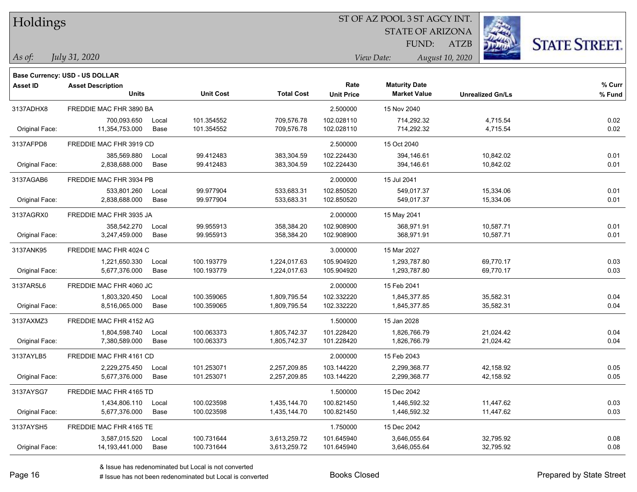| Holdings |
|----------|
|          |

STATE OF ARIZONA FUND:

ATZB



| As of: | July 31, 2020 |
|--------|---------------|
|        |               |

|                 | <b>Base Currency: USD - US DOLLAR</b> |       |                  |                   |                      |                     |                         |        |
|-----------------|---------------------------------------|-------|------------------|-------------------|----------------------|---------------------|-------------------------|--------|
| <b>Asset ID</b> | <b>Asset Description</b>              |       |                  | Rate              | <b>Maturity Date</b> |                     | % Curr                  |        |
|                 | <b>Units</b>                          |       | <b>Unit Cost</b> | <b>Total Cost</b> | <b>Unit Price</b>    | <b>Market Value</b> | <b>Unrealized Gn/Ls</b> | % Fund |
| 3137ADHX8       | FREDDIE MAC FHR 3890 BA               |       |                  |                   | 2.500000             | 15 Nov 2040         |                         |        |
|                 | 700,093.650                           | Local | 101.354552       | 709,576.78        | 102.028110           | 714,292.32          | 4,715.54                | 0.02   |
| Original Face:  | 11,354,753.000                        | Base  | 101.354552       | 709,576.78        | 102.028110           | 714,292.32          | 4,715.54                | 0.02   |
| 3137AFPD8       | FREDDIE MAC FHR 3919 CD               |       |                  |                   | 2.500000             | 15 Oct 2040         |                         |        |
|                 | 385,569.880                           | Local | 99.412483        | 383,304.59        | 102.224430           | 394,146.61          | 10,842.02               | 0.01   |
| Original Face:  | 2,838,688.000                         | Base  | 99.412483        | 383,304.59        | 102.224430           | 394,146.61          | 10,842.02               | 0.01   |
| 3137AGAB6       | FREDDIE MAC FHR 3934 PB               |       |                  |                   | 2.000000             | 15 Jul 2041         |                         |        |
|                 | 533,801.260                           | Local | 99.977904        | 533,683.31        | 102.850520           | 549,017.37          | 15,334.06               | 0.01   |
| Original Face:  | 2,838,688.000                         | Base  | 99.977904        | 533,683.31        | 102.850520           | 549,017.37          | 15,334.06               | 0.01   |
| 3137AGRX0       | FREDDIE MAC FHR 3935 JA               |       |                  |                   | 2.000000             | 15 May 2041         |                         |        |
|                 | 358,542.270                           | Local | 99.955913        | 358,384.20        | 102.908900           | 368,971.91          | 10,587.71               | 0.01   |
| Original Face:  | 3,247,459.000                         | Base  | 99.955913        | 358,384.20        | 102.908900           | 368,971.91          | 10,587.71               | 0.01   |
| 3137ANK95       | FREDDIE MAC FHR 4024 C                |       |                  |                   | 3.000000             | 15 Mar 2027         |                         |        |
|                 | 1,221,650.330                         | Local | 100.193779       | 1,224,017.63      | 105.904920           | 1,293,787.80        | 69,770.17               | 0.03   |
| Original Face:  | 5,677,376.000                         | Base  | 100.193779       | 1,224,017.63      | 105.904920           | 1,293,787.80        | 69,770.17               | 0.03   |
| 3137AR5L6       | FREDDIE MAC FHR 4060 JC               |       |                  |                   | 2.000000             | 15 Feb 2041         |                         |        |
|                 | 1,803,320.450                         | Local | 100.359065       | 1,809,795.54      | 102.332220           | 1,845,377.85        | 35,582.31               | 0.04   |
| Original Face:  | 8,516,065.000                         | Base  | 100.359065       | 1,809,795.54      | 102.332220           | 1,845,377.85        | 35,582.31               | 0.04   |
| 3137AXMZ3       | FREDDIE MAC FHR 4152 AG               |       |                  |                   | 1.500000             | 15 Jan 2028         |                         |        |
|                 | 1,804,598.740                         | Local | 100.063373       | 1,805,742.37      | 101.228420           | 1,826,766.79        | 21,024.42               | 0.04   |
| Original Face:  | 7,380,589.000                         | Base  | 100.063373       | 1,805,742.37      | 101.228420           | 1,826,766.79        | 21,024.42               | 0.04   |
| 3137AYLB5       | FREDDIE MAC FHR 4161 CD               |       |                  |                   | 2.000000             | 15 Feb 2043         |                         |        |
|                 | 2,229,275.450                         | Local | 101.253071       | 2,257,209.85      | 103.144220           | 2,299,368.77        | 42,158.92               | 0.05   |
| Original Face:  | 5,677,376.000                         | Base  | 101.253071       | 2,257,209.85      | 103.144220           | 2,299,368.77        | 42,158.92               | 0.05   |
| 3137AYSG7       | FREDDIE MAC FHR 4165 TD               |       |                  |                   | 1.500000             | 15 Dec 2042         |                         |        |
|                 | 1,434,806.110                         | Local | 100.023598       | 1,435,144.70      | 100.821450           | 1,446,592.32        | 11,447.62               | 0.03   |
| Original Face:  | 5,677,376.000                         | Base  | 100.023598       | 1,435,144.70      | 100.821450           | 1,446,592.32        | 11,447.62               | 0.03   |
| 3137AYSH5       | FREDDIE MAC FHR 4165 TE               |       |                  |                   | 1.750000             | 15 Dec 2042         |                         |        |
|                 | 3,587,015.520                         | Local | 100.731644       | 3,613,259.72      | 101.645940           | 3,646,055.64        | 32,795.92               | 0.08   |
| Original Face:  | 14,193,441.000                        | Base  | 100.731644       | 3,613,259.72      | 101.645940           | 3,646,055.64        | 32,795.92               | 0.08   |
|                 |                                       |       |                  |                   |                      |                     |                         |        |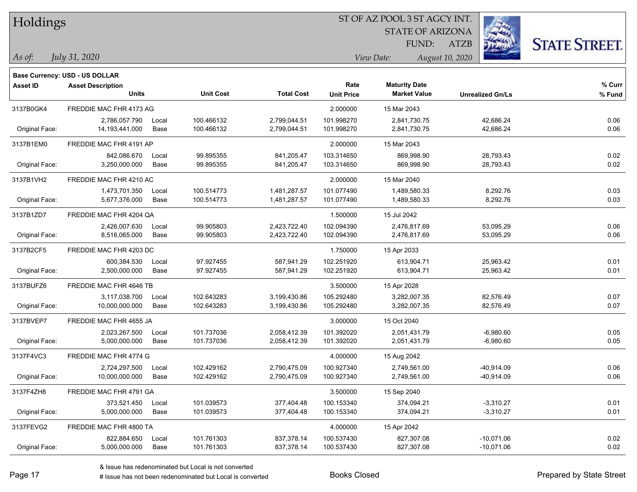| Holdings |  |  |
|----------|--|--|
|          |  |  |

STATE OF ARIZONA FUND:

ATZB



| As of: | July 31, 2020 |
|--------|---------------|
|        |               |

|                 | Base Currency: USD - US DOLLAR           |                      |                          |                              |                           |                                             |                              |                  |
|-----------------|------------------------------------------|----------------------|--------------------------|------------------------------|---------------------------|---------------------------------------------|------------------------------|------------------|
| <b>Asset ID</b> | <b>Asset Description</b><br><b>Units</b> |                      | <b>Unit Cost</b>         | <b>Total Cost</b>            | Rate<br><b>Unit Price</b> | <b>Maturity Date</b><br><b>Market Value</b> | <b>Unrealized Gn/Ls</b>      | % Curr<br>% Fund |
| 3137B0GK4       | FREDDIE MAC FHR 4173 AG                  |                      |                          |                              | 2.000000                  | 15 Mar 2043                                 |                              |                  |
| Original Face:  | 2,786,057.790<br>14,193,441.000          | Local<br>Base        | 100.466132<br>100.466132 | 2,799,044.51<br>2,799,044.51 | 101.998270<br>101.998270  | 2,841,730.75<br>2,841,730.75                | 42,686.24<br>42,686.24       | 0.06<br>0.06     |
| 3137B1EM0       | FREDDIE MAC FHR 4191 AP                  |                      |                          |                              | 2.000000                  | 15 Mar 2043                                 |                              |                  |
| Original Face:  | 842,086.670<br>3,250,000.000             | Local<br><b>Base</b> | 99.895355<br>99.895355   | 841,205.47<br>841,205.47     | 103.314650<br>103.314650  | 869,998.90<br>869,998.90                    | 28,793.43<br>28,793.43       | 0.02<br>0.02     |
| 3137B1VH2       | FREDDIE MAC FHR 4210 AC                  |                      |                          |                              | 2.000000                  | 15 Mar 2040                                 |                              |                  |
| Original Face:  | 1,473,701.350<br>5,677,376.000           | Local<br>Base        | 100.514773<br>100.514773 | 1,481,287.57<br>1,481,287.57 | 101.077490<br>101.077490  | 1.489.580.33<br>1,489,580.33                | 8,292.76<br>8,292.76         | 0.03<br>0.03     |
| 3137B1ZD7       | FREDDIE MAC FHR 4204 QA                  |                      |                          |                              | 1.500000                  | 15 Jul 2042                                 |                              |                  |
| Original Face:  | 2,426,007.630<br>8,516,065.000           | Local<br>Base        | 99.905803<br>99.905803   | 2,423,722.40<br>2,423,722.40 | 102.094390<br>102.094390  | 2,476,817.69<br>2,476,817.69                | 53,095.29<br>53,095.29       | 0.06<br>0.06     |
| 3137B2CF5       | FREDDIE MAC FHR 4203 DC                  |                      |                          |                              | 1.750000                  | 15 Apr 2033                                 |                              |                  |
| Original Face:  | 600,384.530<br>2,500,000.000             | Local<br>Base        | 97.927455<br>97.927455   | 587,941.29<br>587,941.29     | 102.251920<br>102.251920  | 613.904.71<br>613,904.71                    | 25,963.42<br>25,963.42       | 0.01<br>0.01     |
| 3137BUFZ6       | FREDDIE MAC FHR 4646 TB                  |                      |                          |                              | 3.500000                  | 15 Apr 2028                                 |                              |                  |
| Original Face:  | 3,117,038.700<br>10,000,000.000          | Local<br>Base        | 102.643283<br>102.643283 | 3,199,430.86<br>3,199,430.86 | 105.292480<br>105.292480  | 3,282,007.35<br>3,282,007.35                | 82,576.49<br>82,576.49       | 0.07<br>0.07     |
| 3137BVEP7       | FREDDIE MAC FHR 4655 JA                  |                      |                          |                              | 3.000000                  | 15 Oct 2040                                 |                              |                  |
| Original Face:  | 2,023,267.500<br>5,000,000.000           | Local<br>Base        | 101.737036<br>101.737036 | 2,058,412.39<br>2,058,412.39 | 101.392020<br>101.392020  | 2.051.431.79<br>2,051,431.79                | $-6,980.60$<br>$-6,980.60$   | 0.05<br>0.05     |
| 3137F4VC3       | FREDDIE MAC FHR 4774 G                   |                      |                          |                              | 4.000000                  | 15 Aug 2042                                 |                              |                  |
| Original Face:  | 2,724,297.500<br>10,000,000.000          | Local<br>Base        | 102.429162<br>102.429162 | 2,790,475.09<br>2,790,475.09 | 100.927340<br>100.927340  | 2,749,561.00<br>2,749,561.00                | $-40,914.09$<br>$-40,914.09$ | 0.06<br>0.06     |
| 3137F4ZH8       | FREDDIE MAC FHR 4791 GA                  |                      |                          |                              | 3.500000                  | 15 Sep 2040                                 |                              |                  |
| Original Face:  | 373,521.450<br>5,000,000.000             | Local<br>Base        | 101.039573<br>101.039573 | 377,404.48<br>377,404.48     | 100.153340<br>100.153340  | 374,094.21<br>374,094.21                    | $-3,310.27$<br>$-3,310.27$   | 0.01<br>0.01     |
| 3137FEVG2       | FREDDIE MAC FHR 4800 TA                  |                      |                          |                              | 4.000000                  | 15 Apr 2042                                 |                              |                  |
| Original Face:  | 822,884.650<br>5,000,000.000             | Local<br>Base        | 101.761303<br>101.761303 | 837,378.14<br>837,378.14     | 100.537430<br>100.537430  | 827,307.08<br>827,307.08                    | $-10,071.06$<br>$-10,071.06$ | 0.02<br>0.02     |
|                 |                                          |                      |                          |                              |                           |                                             |                              |                  |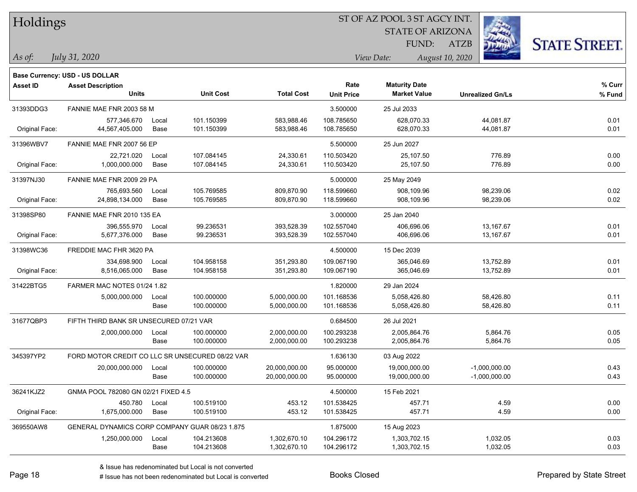| Holdings |  |
|----------|--|
|          |  |

STATE OF ARIZONA FUND:

ATZB



*As of: View Date: August 10, 2020*

*July 31, 2020*

|                 | Base Currency: USD - US DOLLAR                  |       |                  |                   |                   |                      |                         |        |
|-----------------|-------------------------------------------------|-------|------------------|-------------------|-------------------|----------------------|-------------------------|--------|
| <b>Asset ID</b> | <b>Asset Description</b>                        |       |                  |                   | Rate              | <b>Maturity Date</b> |                         | % Curr |
|                 | <b>Units</b>                                    |       | <b>Unit Cost</b> | <b>Total Cost</b> | <b>Unit Price</b> | <b>Market Value</b>  | <b>Unrealized Gn/Ls</b> | % Fund |
| 31393DDG3       | FANNIE MAE FNR 2003 58 M                        |       |                  |                   | 3.500000          | 25 Jul 2033          |                         |        |
|                 | 577,346.670                                     | Local | 101.150399       | 583,988.46        | 108.785650        | 628.070.33           | 44,081.87               | 0.01   |
| Original Face:  | 44,567,405.000                                  | Base  | 101.150399       | 583,988.46        | 108.785650        | 628,070.33           | 44,081.87               | 0.01   |
| 31396WBV7       | FANNIE MAE FNR 2007 56 EP                       |       |                  |                   | 5.500000          | 25 Jun 2027          |                         |        |
|                 | 22.721.020                                      | Local | 107.084145       | 24,330.61         | 110.503420        | 25,107.50            | 776.89                  | 0.00   |
| Original Face:  | 1,000,000.000                                   | Base  | 107.084145       | 24,330.61         | 110.503420        | 25,107.50            | 776.89                  | 0.00   |
| 31397NJ30       | FANNIE MAE FNR 2009 29 PA                       |       |                  |                   | 5.000000          | 25 May 2049          |                         |        |
|                 | 765,693.560                                     | Local | 105.769585       | 809,870.90        | 118.599660        | 908,109.96           | 98,239.06               | 0.02   |
| Original Face:  | 24,898,134.000                                  | Base  | 105.769585       | 809,870.90        | 118.599660        | 908,109.96           | 98,239.06               | 0.02   |
| 31398SP80       | FANNIE MAE FNR 2010 135 EA                      |       |                  |                   | 3.000000          | 25 Jan 2040          |                         |        |
|                 | 396,555.970                                     | Local | 99.236531        | 393,528.39        | 102.557040        | 406,696.06           | 13,167.67               | 0.01   |
| Original Face:  | 5,677,376.000                                   | Base  | 99.236531        | 393,528.39        | 102.557040        | 406,696.06           | 13,167.67               | 0.01   |
| 31398WC36       | FREDDIE MAC FHR 3620 PA                         |       |                  |                   | 4.500000          | 15 Dec 2039          |                         |        |
|                 | 334,698.900                                     | Local | 104.958158       | 351,293.80        | 109.067190        | 365,046.69           | 13,752.89               | 0.01   |
| Original Face:  | 8,516,065.000                                   | Base  | 104.958158       | 351,293.80        | 109.067190        | 365,046.69           | 13,752.89               | 0.01   |
| 31422BTG5       | FARMER MAC NOTES 01/24 1.82                     |       |                  |                   | 1.820000          | 29 Jan 2024          |                         |        |
|                 | 5,000,000.000                                   | Local | 100.000000       | 5,000,000.00      | 101.168536        | 5,058,426.80         | 58,426.80               | 0.11   |
|                 |                                                 | Base  | 100.000000       | 5,000,000.00      | 101.168536        | 5,058,426.80         | 58,426.80               | 0.11   |
| 31677QBP3       | FIFTH THIRD BANK SR UNSECURED 07/21 VAR         |       |                  |                   | 0.684500          | 26 Jul 2021          |                         |        |
|                 | 2,000,000.000                                   | Local | 100.000000       | 2,000,000.00      | 100.293238        | 2,005,864.76         | 5,864.76                | 0.05   |
|                 |                                                 | Base  | 100.000000       | 2,000,000.00      | 100.293238        | 2,005,864.76         | 5,864.76                | 0.05   |
| 345397YP2       | FORD MOTOR CREDIT CO LLC SR UNSECURED 08/22 VAR |       |                  |                   | 1.636130          | 03 Aug 2022          |                         |        |
|                 | 20,000,000.000                                  | Local | 100.000000       | 20,000,000.00     | 95.000000         | 19,000,000.00        | $-1,000,000.00$         | 0.43   |
|                 |                                                 | Base  | 100.000000       | 20,000,000.00     | 95.000000         | 19,000,000.00        | $-1,000,000.00$         | 0.43   |
| 36241KJZ2       | GNMA POOL 782080 GN 02/21 FIXED 4.5             |       |                  |                   | 4.500000          | 15 Feb 2021          |                         |        |
|                 | 450.780                                         | Local | 100.519100       | 453.12            | 101.538425        | 457.71               | 4.59                    | 0.00   |
| Original Face:  | 1,675,000.000                                   | Base  | 100.519100       | 453.12            | 101.538425        | 457.71               | 4.59                    | 0.00   |
| 369550AW8       | GENERAL DYNAMICS CORP COMPANY GUAR 08/23 1.875  |       |                  |                   | 1.875000          | 15 Aug 2023          |                         |        |
|                 | 1,250,000.000                                   | Local | 104.213608       | 1,302,670.10      | 104.296172        | 1,303,702.15         | 1,032.05                | 0.03   |
|                 |                                                 | Base  | 104.213608       | 1,302,670.10      | 104.296172        | 1,303,702.15         | 1,032.05                | 0.03   |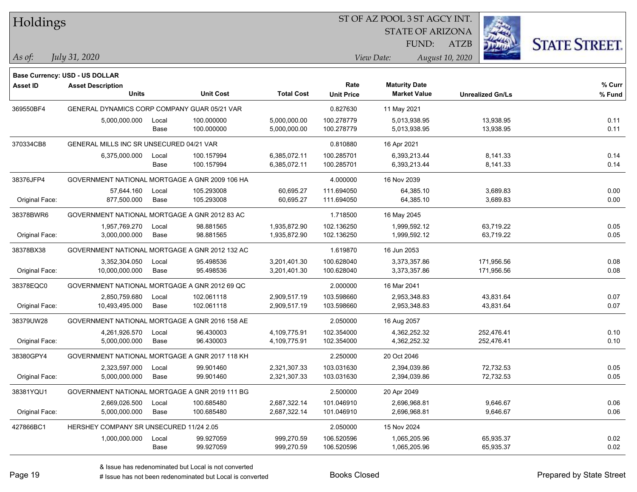|  | <b>Holdings</b> |
|--|-----------------|
|  |                 |

STATE OF ARIZONA

ATZB



*July 31, 2020*

**Base Currency: USD - US DOLLAR**

*As of: View Date: August 10, 2020* FUND:

| <b>Asset ID</b> | <b>Asset Description</b>                       |       |                  |                   | Rate              | <b>Maturity Date</b> |                         | % Curr |
|-----------------|------------------------------------------------|-------|------------------|-------------------|-------------------|----------------------|-------------------------|--------|
|                 | <b>Units</b>                                   |       | <b>Unit Cost</b> | <b>Total Cost</b> | <b>Unit Price</b> | <b>Market Value</b>  | <b>Unrealized Gn/Ls</b> | % Fund |
| 369550BF4       | GENERAL DYNAMICS CORP COMPANY GUAR 05/21 VAR   |       |                  |                   | 0.827630          | 11 May 2021          |                         |        |
|                 | 5,000,000.000                                  | Local | 100.000000       | 5,000,000.00      | 100.278779        | 5,013,938.95         | 13,938.95               | 0.11   |
|                 |                                                | Base  | 100.000000       | 5,000,000.00      | 100.278779        | 5,013,938.95         | 13,938.95               | 0.11   |
| 370334CB8       | GENERAL MILLS INC SR UNSECURED 04/21 VAR       |       |                  |                   | 0.810880          | 16 Apr 2021          |                         |        |
|                 | 6,375,000.000                                  | Local | 100.157994       | 6,385,072.11      | 100.285701        | 6,393,213.44         | 8,141.33                | 0.14   |
|                 |                                                | Base  | 100.157994       | 6,385,072.11      | 100.285701        | 6,393,213.44         | 8,141.33                | 0.14   |
| 38376JFP4       | GOVERNMENT NATIONAL MORTGAGE A GNR 2009 106 HA |       |                  |                   | 4.000000          | 16 Nov 2039          |                         |        |
|                 | 57,644.160                                     | Local | 105.293008       | 60,695.27         | 111.694050        | 64,385.10            | 3,689.83                | 0.00   |
| Original Face:  | 877,500.000                                    | Base  | 105.293008       | 60,695.27         | 111.694050        | 64,385.10            | 3,689.83                | 0.00   |
| 38378BWR6       | GOVERNMENT NATIONAL MORTGAGE A GNR 2012 83 AC  |       |                  |                   | 1.718500          | 16 May 2045          |                         |        |
|                 | 1,957,769.270                                  | Local | 98.881565        | 1,935,872.90      | 102.136250        | 1,999,592.12         | 63,719.22               | 0.05   |
| Original Face:  | 3,000,000.000                                  | Base  | 98.881565        | 1,935,872.90      | 102.136250        | 1,999,592.12         | 63,719.22               | 0.05   |
| 38378BX38       | GOVERNMENT NATIONAL MORTGAGE A GNR 2012 132 AC |       |                  |                   | 1.619870          | 16 Jun 2053          |                         |        |
|                 | 3,352,304.050                                  | Local | 95.498536        | 3,201,401.30      | 100.628040        | 3,373,357.86         | 171,956.56              | 0.08   |
| Original Face:  | 10,000,000.000                                 | Base  | 95.498536        | 3,201,401.30      | 100.628040        | 3,373,357.86         | 171,956.56              | 0.08   |
| 38378EQC0       | GOVERNMENT NATIONAL MORTGAGE A GNR 2012 69 QC  |       |                  |                   | 2.000000          | 16 Mar 2041          |                         |        |
|                 | 2,850,759.680                                  | Local | 102.061118       | 2,909,517.19      | 103.598660        | 2,953,348.83         | 43,831.64               | 0.07   |
| Original Face:  | 10,493,495.000                                 | Base  | 102.061118       | 2,909,517.19      | 103.598660        | 2,953,348.83         | 43,831.64               | 0.07   |
| 38379UW28       | GOVERNMENT NATIONAL MORTGAGE A GNR 2016 158 AE |       |                  |                   | 2.050000          | 16 Aug 2057          |                         |        |
|                 | 4,261,926.570                                  | Local | 96.430003        | 4,109,775.91      | 102.354000        | 4,362,252.32         | 252,476.41              | 0.10   |
| Original Face:  | 5,000,000.000                                  | Base  | 96.430003        | 4,109,775.91      | 102.354000        | 4,362,252.32         | 252,476.41              | 0.10   |
| 38380GPY4       | GOVERNMENT NATIONAL MORTGAGE A GNR 2017 118 KH |       |                  |                   | 2.250000          | 20 Oct 2046          |                         |        |
|                 | 2,323,597.000                                  | Local | 99.901460        | 2,321,307.33      | 103.031630        | 2,394,039.86         | 72,732.53               | 0.05   |
| Original Face:  | 5,000,000.000                                  | Base  | 99.901460        | 2,321,307.33      | 103.031630        | 2,394,039.86         | 72,732.53               | 0.05   |
| 38381YQU1       | GOVERNMENT NATIONAL MORTGAGE A GNR 2019 111 BG |       |                  |                   | 2.500000          | 20 Apr 2049          |                         |        |
|                 | 2,669,026.500                                  | Local | 100.685480       | 2,687,322.14      | 101.046910        | 2,696,968.81         | 9,646.67                | 0.06   |
| Original Face:  | 5,000,000.000                                  | Base  | 100.685480       | 2,687,322.14      | 101.046910        | 2,696,968.81         | 9,646.67                | 0.06   |
| 427866BC1       | HERSHEY COMPANY SR UNSECURED 11/24 2.05        |       |                  |                   | 2.050000          | 15 Nov 2024          |                         |        |
|                 | 1,000,000.000                                  | Local | 99.927059        | 999,270.59        | 106.520596        | 1,065,205.96         | 65,935.37               | 0.02   |
|                 |                                                | Base  | 99.927059        | 999,270.59        | 106.520596        | 1,065,205.96         | 65,935.37               | 0.02   |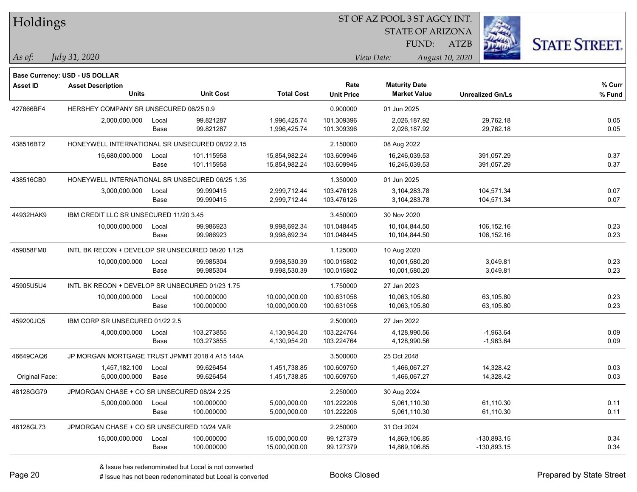| Holdings       |                                                  |               |                          |                                |                           | ST OF AZ POOL 3 ST AGCY INT.                |                          |                      |
|----------------|--------------------------------------------------|---------------|--------------------------|--------------------------------|---------------------------|---------------------------------------------|--------------------------|----------------------|
|                |                                                  |               |                          |                                |                           | <b>STATE OF ARIZONA</b>                     |                          |                      |
|                |                                                  |               |                          |                                |                           | FUND:                                       | <b>ATZB</b>              | <b>STATE STREET.</b> |
| $ As\;of:$     | July 31, 2020                                    |               |                          |                                |                           | View Date:                                  | August 10, 2020          |                      |
|                |                                                  |               |                          |                                |                           |                                             |                          |                      |
|                | Base Currency: USD - US DOLLAR                   |               |                          |                                |                           |                                             |                          |                      |
| Asset ID       | <b>Asset Description</b><br><b>Units</b>         |               | <b>Unit Cost</b>         | <b>Total Cost</b>              | Rate<br><b>Unit Price</b> | <b>Maturity Date</b><br><b>Market Value</b> | <b>Unrealized Gn/Ls</b>  | % Curr<br>% Fund     |
|                |                                                  |               |                          |                                |                           |                                             |                          |                      |
| 427866BF4      | HERSHEY COMPANY SR UNSECURED 06/25 0.9           |               |                          |                                | 0.900000                  | 01 Jun 2025                                 |                          |                      |
|                | 2,000,000.000                                    | Local<br>Base | 99.821287<br>99.821287   | 1,996,425.74<br>1,996,425.74   | 101.309396<br>101.309396  | 2,026,187.92<br>2,026,187.92                | 29,762.18<br>29,762.18   | 0.05<br>0.05         |
|                |                                                  |               |                          |                                |                           |                                             |                          |                      |
| 438516BT2      | HONEYWELL INTERNATIONAL SR UNSECURED 08/22 2.15  |               |                          |                                | 2.150000                  | 08 Aug 2022                                 |                          |                      |
|                | 15,680,000.000                                   | Local<br>Base | 101.115958<br>101.115958 | 15,854,982.24<br>15,854,982.24 | 103.609946<br>103.609946  | 16,246,039.53<br>16,246,039.53              | 391,057.29<br>391,057.29 | 0.37<br>0.37         |
| 438516CB0      | HONEYWELL INTERNATIONAL SR UNSECURED 06/25 1.35  |               |                          |                                | 1.350000                  | 01 Jun 2025                                 |                          |                      |
|                | 3,000,000.000                                    | Local         | 99.990415                | 2,999,712.44                   | 103.476126                | 3,104,283.78                                | 104,571.34               | 0.07                 |
|                |                                                  | Base          | 99.990415                | 2,999,712.44                   | 103.476126                | 3,104,283.78                                | 104,571.34               | 0.07                 |
| 44932HAK9      | IBM CREDIT LLC SR UNSECURED 11/20 3.45           |               |                          |                                | 3.450000                  | 30 Nov 2020                                 |                          |                      |
|                | 10,000,000.000                                   | Local         | 99.986923                | 9,998,692.34                   | 101.048445                | 10,104,844.50                               | 106,152.16               | 0.23                 |
|                |                                                  | Base          | 99.986923                | 9,998,692.34                   | 101.048445                | 10,104,844.50                               | 106,152.16               | 0.23                 |
| 459058FM0      | INTL BK RECON + DEVELOP SR UNSECURED 08/20 1.125 |               |                          |                                | 1.125000                  | 10 Aug 2020                                 |                          |                      |
|                | 10,000,000.000                                   | Local         | 99.985304                | 9,998,530.39                   | 100.015802                | 10,001,580.20                               | 3,049.81                 | 0.23                 |
|                |                                                  | Base          | 99.985304                | 9,998,530.39                   | 100.015802                | 10,001,580.20                               | 3,049.81                 | 0.23                 |
| 45905U5U4      | INTL BK RECON + DEVELOP SR UNSECURED 01/23 1.75  |               |                          |                                | 1.750000                  | 27 Jan 2023                                 |                          |                      |
|                | 10,000,000.000                                   | Local         | 100.000000               | 10,000,000.00                  | 100.631058                | 10,063,105.80                               | 63,105.80                | 0.23                 |
|                |                                                  | Base          | 100.000000               | 10,000,000.00                  | 100.631058                | 10,063,105.80                               | 63,105.80                | 0.23                 |
| 459200JQ5      | IBM CORP SR UNSECURED 01/22 2.5                  |               |                          |                                | 2.500000                  | 27 Jan 2022                                 |                          |                      |
|                | 4,000,000.000                                    | Local         | 103.273855               | 4,130,954.20                   | 103.224764                | 4,128,990.56                                | $-1,963.64$              | 0.09                 |
|                |                                                  | Base          | 103.273855               | 4,130,954.20                   | 103.224764                | 4,128,990.56                                | $-1,963.64$              | 0.09                 |
| 46649CAQ6      | JP MORGAN MORTGAGE TRUST JPMMT 2018 4 A15 144A   |               |                          |                                | 3.500000                  | 25 Oct 2048                                 |                          |                      |
|                | 1,457,182.100                                    | Local         | 99.626454                | 1,451,738.85                   | 100.609750                | 1,466,067.27                                | 14,328.42                | 0.03                 |
| Original Face: | 5,000,000.000                                    | Base          | 99.626454                | 1,451,738.85                   | 100.609750                | 1,466,067.27                                | 14,328.42                | 0.03                 |
| 48128GG79      | JPMORGAN CHASE + CO SR UNSECURED 08/24 2.25      |               |                          |                                | 2.250000                  | 30 Aug 2024                                 |                          |                      |
|                | 5,000,000.000                                    | Local         | 100.000000               | 5,000,000.00                   | 101.222206                | 5,061,110.30                                | 61,110.30                | 0.11                 |
|                |                                                  | Base          | 100.000000               | 5,000,000.00                   | 101.222206                | 5,061,110.30                                | 61,110.30                | 0.11                 |
| 48128GL73      | JPMORGAN CHASE + CO SR UNSECURED 10/24 VAR       |               |                          |                                | 2.250000                  | 31 Oct 2024                                 |                          |                      |
|                | 15,000,000.000                                   | Local         | 100.000000               | 15,000,000.00                  | 99.127379                 | 14,869,106.85                               | $-130,893.15$            | 0.34                 |
|                |                                                  | Base          | 100.000000               | 15,000,000.00                  | 99.127379                 | 14,869,106.85                               | $-130,893.15$            | 0.34                 |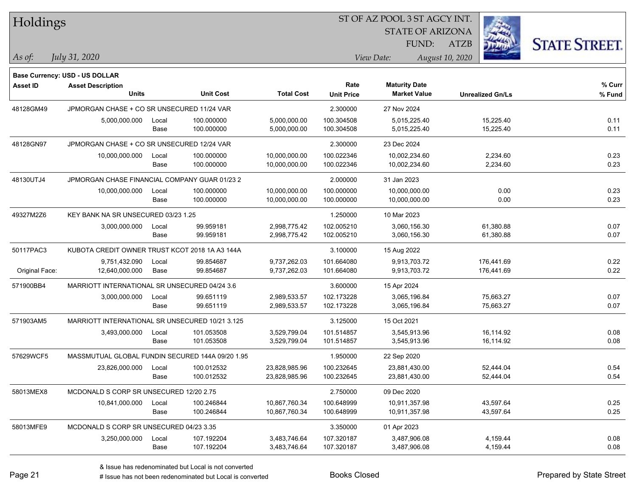| $\pi$ oldings   |                                                  |       |                  |                   |                   |                      |                     | <b>STATE OF ARIZONA</b> |                         |                      |
|-----------------|--------------------------------------------------|-------|------------------|-------------------|-------------------|----------------------|---------------------|-------------------------|-------------------------|----------------------|
|                 |                                                  |       |                  |                   |                   |                      | <b>FUND:</b>        | <b>ATZB</b>             |                         | <b>STATE STREET.</b> |
| As of:          | July 31, 2020                                    |       |                  |                   |                   | View Date:           |                     | August 10, 2020         |                         |                      |
|                 | Base Currency: USD - US DOLLAR                   |       |                  |                   |                   |                      |                     |                         |                         |                      |
| <b>Asset ID</b> | <b>Asset Description</b>                         |       |                  |                   | Rate              | <b>Maturity Date</b> |                     |                         |                         | % Curr               |
|                 | <b>Units</b>                                     |       | <b>Unit Cost</b> | <b>Total Cost</b> | <b>Unit Price</b> |                      | <b>Market Value</b> |                         | <b>Unrealized Gn/Ls</b> | % Fund               |
| 48128GM49       | JPMORGAN CHASE + CO SR UNSECURED 11/24 VAR       |       |                  |                   | 2.300000          | 27 Nov 2024          |                     |                         |                         |                      |
|                 | 5,000,000.000                                    | Local | 100.000000       | 5,000,000.00      | 100.304508        |                      | 5,015,225.40        |                         | 15,225.40               | 0.11                 |
|                 |                                                  | Base  | 100.000000       | 5,000,000.00      | 100.304508        |                      | 5,015,225.40        |                         | 15,225.40               | 0.11                 |
| 48128GN97       | JPMORGAN CHASE + CO SR UNSECURED 12/24 VAR       |       |                  |                   | 2.300000          | 23 Dec 2024          |                     |                         |                         |                      |
|                 | 10,000,000.000                                   | Local | 100.000000       | 10,000,000.00     | 100.022346        | 10,002,234.60        |                     |                         | 2,234.60                | 0.23                 |
|                 |                                                  | Base  | 100.000000       | 10,000,000.00     | 100.022346        | 10,002,234.60        |                     |                         | 2,234.60                | 0.23                 |
| 48130UTJ4       | JPMORGAN CHASE FINANCIAL COMPANY GUAR 01/23 2    |       |                  |                   | 2.000000          | 31 Jan 2023          |                     |                         |                         |                      |
|                 | 10,000,000.000                                   | Local | 100.000000       | 10,000,000.00     | 100.000000        | 10,000,000.00        |                     |                         | 0.00                    | 0.23                 |
|                 |                                                  | Base  | 100.000000       | 10,000,000.00     | 100.000000        | 10,000,000.00        |                     |                         | 0.00                    | 0.23                 |
| 49327M2Z6       | KEY BANK NA SR UNSECURED 03/23 1.25              |       |                  |                   | 1.250000          | 10 Mar 2023          |                     |                         |                         |                      |
|                 | 3,000,000.000                                    | Local | 99.959181        | 2,998,775.42      | 102.005210        |                      | 3,060,156.30        |                         | 61,380.88               | 0.07                 |
|                 |                                                  | Base  | 99.959181        | 2,998,775.42      | 102.005210        |                      | 3,060,156.30        |                         | 61,380.88               | 0.07                 |
| 50117PAC3       | KUBOTA CREDIT OWNER TRUST KCOT 2018 1A A3 144A   |       |                  |                   | 3.100000          | 15 Aug 2022          |                     |                         |                         |                      |
|                 | 9,751,432.090                                    | Local | 99.854687        | 9,737,262.03      | 101.664080        |                      | 9,913,703.72        |                         | 176,441.69              | 0.22                 |
| Original Face:  | 12,640,000.000                                   | Base  | 99.854687        | 9,737,262.03      | 101.664080        |                      | 9,913,703.72        |                         | 176,441.69              | 0.22                 |
| 571900BB4       | MARRIOTT INTERNATIONAL SR UNSECURED 04/24 3.6    |       |                  |                   | 3.600000          | 15 Apr 2024          |                     |                         |                         |                      |
|                 | 3,000,000.000                                    | Local | 99.651119        | 2,989,533.57      | 102.173228        |                      | 3,065,196.84        |                         | 75,663.27               | 0.07                 |
|                 |                                                  | Base  | 99.651119        | 2,989,533.57      | 102.173228        |                      | 3,065,196.84        |                         | 75,663.27               | 0.07                 |
| 571903AM5       | MARRIOTT INTERNATIONAL SR UNSECURED 10/21 3.125  |       |                  |                   | 3.125000          | 15 Oct 2021          |                     |                         |                         |                      |
|                 | 3,493,000.000                                    | Local | 101.053508       | 3,529,799.04      | 101.514857        |                      | 3,545,913.96        |                         | 16,114.92               | 0.08                 |
|                 |                                                  | Base  | 101.053508       | 3,529,799.04      | 101.514857        |                      | 3,545,913.96        |                         | 16,114.92               | 0.08                 |
| 57629WCF5       | MASSMUTUAL GLOBAL FUNDIN SECURED 144A 09/20 1.95 |       |                  |                   | 1.950000          | 22 Sep 2020          |                     |                         |                         |                      |
|                 | 23,826,000.000                                   | Local | 100.012532       | 23,828,985.96     | 100.232645        | 23,881,430.00        |                     |                         | 52,444.04               | 0.54                 |
|                 |                                                  | Base  | 100.012532       | 23,828,985.96     | 100.232645        | 23,881,430.00        |                     |                         | 52,444.04               | 0.54                 |
| 58013MEX8       | MCDONALD S CORP SR UNSECURED 12/20 2.75          |       |                  |                   | 2.750000          | 09 Dec 2020          |                     |                         |                         |                      |
|                 | 10,841,000.000                                   | Local | 100.246844       | 10,867,760.34     | 100.648999        | 10,911,357.98        |                     |                         | 43,597.64               | 0.25                 |
|                 |                                                  | Base  | 100.246844       | 10,867,760.34     | 100.648999        | 10,911,357.98        |                     |                         | 43,597.64               | 0.25                 |
| 58013MFE9       | MCDONALD S CORP SR UNSECURED 04/23 3.35          |       |                  |                   | 3.350000          | 01 Apr 2023          |                     |                         |                         |                      |
|                 | 3,250,000.000                                    | Local | 107.192204       | 3,483,746.64      | 107.320187        |                      | 3,487,906.08        |                         | 4,159.44                | 0.08                 |
|                 |                                                  | Base  | 107.192204       | 3,483,746.64      | 107.320187        |                      | 3,487,906.08        |                         | 4,159.44                | 0.08                 |

**STATE AND INCOME.** 

 $TT.1.1$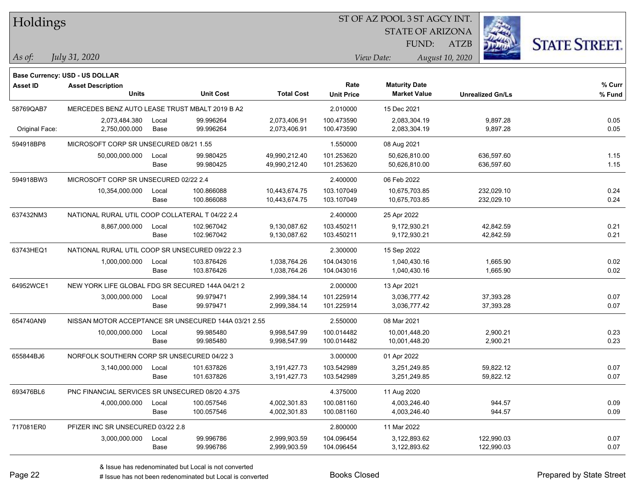| Holdings        |                                                      |       |                  |                   |                           | ST OF AZ POOL 3 ST AGCY INT.                |                         |                      |  |
|-----------------|------------------------------------------------------|-------|------------------|-------------------|---------------------------|---------------------------------------------|-------------------------|----------------------|--|
|                 |                                                      |       |                  |                   |                           | <b>STATE OF ARIZONA</b>                     |                         |                      |  |
|                 |                                                      |       |                  |                   |                           | FUND:                                       | <b>ATZB</b>             | <b>STATE STREET.</b> |  |
| $\vert$ As of:  | July 31, 2020                                        |       |                  |                   |                           | View Date:                                  | August 10, 2020         |                      |  |
|                 |                                                      |       |                  |                   |                           |                                             |                         |                      |  |
|                 | <b>Base Currency: USD - US DOLLAR</b>                |       |                  |                   |                           |                                             |                         |                      |  |
| <b>Asset ID</b> | <b>Asset Description</b><br><b>Units</b>             |       | <b>Unit Cost</b> | <b>Total Cost</b> | Rate<br><b>Unit Price</b> | <b>Maturity Date</b><br><b>Market Value</b> | <b>Unrealized Gn/Ls</b> | % Curr<br>% Fund     |  |
| 58769QAB7       | MERCEDES BENZ AUTO LEASE TRUST MBALT 2019 B A2       |       |                  |                   | 2.010000                  | 15 Dec 2021                                 |                         |                      |  |
|                 | 2,073,484.380                                        | Local | 99.996264        | 2,073,406.91      | 100.473590                | 2,083,304.19                                | 9,897.28                | 0.05                 |  |
| Original Face:  | 2,750,000.000                                        | Base  | 99.996264        | 2,073,406.91      | 100.473590                | 2,083,304.19                                | 9,897.28                | 0.05                 |  |
| 594918BP8       | MICROSOFT CORP SR UNSECURED 08/21 1.55               |       |                  |                   | 1.550000                  | 08 Aug 2021                                 |                         |                      |  |
|                 | 50,000,000.000                                       | Local | 99.980425        | 49,990,212.40     | 101.253620                | 50,626,810.00                               | 636,597.60              | 1.15                 |  |
|                 |                                                      | Base  | 99.980425        | 49,990,212.40     | 101.253620                | 50,626,810.00                               | 636,597.60              | 1.15                 |  |
| 594918BW3       | MICROSOFT CORP SR UNSECURED 02/22 2.4                |       |                  |                   | 2.400000                  | 06 Feb 2022                                 |                         |                      |  |
|                 | 10,354,000.000                                       | Local | 100.866088       | 10,443,674.75     | 103.107049                | 10,675,703.85                               | 232,029.10              | 0.24                 |  |
|                 |                                                      | Base  | 100.866088       | 10,443,674.75     | 103.107049                | 10,675,703.85                               | 232,029.10              | 0.24                 |  |
| 637432NM3       | NATIONAL RURAL UTIL COOP COLLATERAL T 04/22 2.4      |       |                  |                   | 2.400000                  | 25 Apr 2022                                 |                         |                      |  |
|                 | 8,867,000.000                                        | Local | 102.967042       | 9,130,087.62      | 103.450211                | 9,172,930.21                                | 42,842.59               | 0.21                 |  |
|                 |                                                      | Base  | 102.967042       | 9,130,087.62      | 103.450211                | 9,172,930.21                                | 42,842.59               | 0.21                 |  |
| 63743HEQ1       | NATIONAL RURAL UTIL COOP SR UNSECURED 09/22 2.3      |       |                  |                   | 2.300000                  | 15 Sep 2022                                 |                         |                      |  |
|                 | 1,000,000.000                                        | Local | 103.876426       | 1,038,764.26      | 104.043016                | 1,040,430.16                                | 1,665.90                | 0.02                 |  |
|                 |                                                      | Base  | 103.876426       | 1,038,764.26      | 104.043016                | 1,040,430.16                                | 1,665.90                | 0.02                 |  |
| 64952WCE1       | NEW YORK LIFE GLOBAL FDG SR SECURED 144A 04/21 2     |       |                  |                   | 2.000000                  | 13 Apr 2021                                 |                         |                      |  |
|                 | 3,000,000.000                                        | Local | 99.979471        | 2,999,384.14      | 101.225914                | 3,036,777.42                                | 37,393.28               | 0.07                 |  |
|                 |                                                      | Base  | 99.979471        | 2,999,384.14      | 101.225914                | 3,036,777.42                                | 37,393.28               | 0.07                 |  |
| 654740AN9       | NISSAN MOTOR ACCEPTANCE SR UNSECURED 144A 03/21 2.55 |       |                  |                   | 2.550000                  | 08 Mar 2021                                 |                         |                      |  |
|                 | 10,000,000.000                                       | Local | 99.985480        | 9,998,547.99      | 100.014482                | 10,001,448.20                               | 2,900.21                | 0.23                 |  |
|                 |                                                      | Base  | 99.985480        | 9,998,547.99      | 100.014482                | 10,001,448.20                               | 2,900.21                | 0.23                 |  |
| 655844BJ6       | NORFOLK SOUTHERN CORP SR UNSECURED 04/22 3           |       |                  |                   | 3.000000                  | 01 Apr 2022                                 |                         |                      |  |
|                 | 3,140,000.000                                        | Local | 101.637826       | 3,191,427.73      | 103.542989                | 3,251,249.85                                | 59,822.12               | 0.07                 |  |
|                 |                                                      | Base  | 101.637826       | 3,191,427.73      | 103.542989                | 3,251,249.85                                | 59,822.12               | 0.07                 |  |
| 693476BL6       | PNC FINANCIAL SERVICES SR UNSECURED 08/20 4.375      |       |                  |                   | 4.375000                  | 11 Aug 2020                                 |                         |                      |  |
|                 | 4,000,000.000                                        | Local | 100.057546       | 4,002,301.83      | 100.081160                | 4,003,246.40                                | 944.57                  | 0.09                 |  |
|                 |                                                      | Base  | 100.057546       | 4,002,301.83      | 100.081160                | 4,003,246.40                                | 944.57                  | 0.09                 |  |
| 717081ER0       | PFIZER INC SR UNSECURED 03/22 2.8                    |       |                  |                   | 2.800000                  | 11 Mar 2022                                 |                         |                      |  |
|                 | 3,000,000.000                                        | Local | 99.996786        | 2,999,903.59      | 104.096454                | 3,122,893.62                                | 122,990.03              | 0.07                 |  |
|                 |                                                      | Base  | 99.996786        | 2,999,903.59      | 104.096454                | 3,122,893.62                                | 122,990.03              | 0.07                 |  |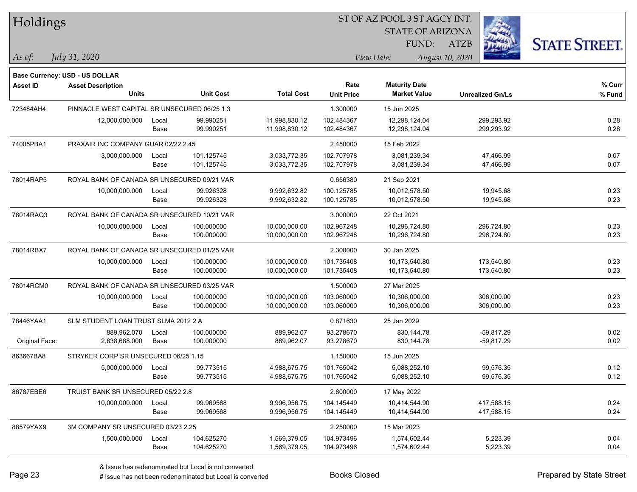| Holdings        |                                              |       |                  | ST OF AZ POOL 3 ST AGCY INT. |                           |                                             |                         |                      |
|-----------------|----------------------------------------------|-------|------------------|------------------------------|---------------------------|---------------------------------------------|-------------------------|----------------------|
|                 |                                              |       |                  |                              |                           | <b>STATE OF ARIZONA</b>                     |                         |                      |
|                 |                                              |       |                  |                              |                           | FUND:                                       | <b>ATZB</b>             | <b>STATE STREET.</b> |
| $\vert$ As of:  | July 31, 2020                                |       |                  |                              |                           | View Date:                                  | August 10, 2020         |                      |
|                 |                                              |       |                  |                              |                           |                                             |                         |                      |
|                 | <b>Base Currency: USD - US DOLLAR</b>        |       |                  |                              |                           |                                             |                         |                      |
| <b>Asset ID</b> | <b>Asset Description</b><br><b>Units</b>     |       | <b>Unit Cost</b> | <b>Total Cost</b>            | Rate<br><b>Unit Price</b> | <b>Maturity Date</b><br><b>Market Value</b> | <b>Unrealized Gn/Ls</b> | $%$ Curr<br>% Fund   |
| 723484AH4       | PINNACLE WEST CAPITAL SR UNSECURED 06/25 1.3 |       |                  |                              | 1.300000                  | 15 Jun 2025                                 |                         |                      |
|                 | 12,000,000.000                               | Local | 99.990251        | 11,998,830.12                | 102.484367                | 12,298,124.04                               | 299,293.92              | 0.28                 |
|                 |                                              | Base  | 99.990251        | 11,998,830.12                | 102.484367                | 12,298,124.04                               | 299,293.92              | 0.28                 |
| 74005PBA1       | PRAXAIR INC COMPANY GUAR 02/22 2.45          |       |                  |                              | 2.450000                  | 15 Feb 2022                                 |                         |                      |
|                 | 3,000,000.000                                | Local | 101.125745       | 3,033,772.35                 | 102.707978                | 3,081,239.34                                | 47,466.99               | 0.07                 |
|                 |                                              | Base  | 101.125745       | 3,033,772.35                 | 102.707978                | 3,081,239.34                                | 47,466.99               | 0.07                 |
| 78014RAP5       | ROYAL BANK OF CANADA SR UNSECURED 09/21 VAR  |       |                  |                              | 0.656380                  | 21 Sep 2021                                 |                         |                      |
|                 | 10,000,000.000                               | Local | 99.926328        | 9,992,632.82                 | 100.125785                | 10,012,578.50                               | 19,945.68               | 0.23                 |
|                 |                                              | Base  | 99.926328        | 9,992,632.82                 | 100.125785                | 10,012,578.50                               | 19,945.68               | 0.23                 |
| 78014RAQ3       | ROYAL BANK OF CANADA SR UNSECURED 10/21 VAR  |       |                  |                              | 3.000000                  | 22 Oct 2021                                 |                         |                      |
|                 | 10,000,000.000                               | Local | 100.000000       | 10,000,000.00                | 102.967248                | 10,296,724.80                               | 296,724.80              | 0.23                 |
|                 |                                              | Base  | 100.000000       | 10,000,000.00                | 102.967248                | 10,296,724.80                               | 296,724.80              | 0.23                 |
| 78014RBX7       | ROYAL BANK OF CANADA SR UNSECURED 01/25 VAR  |       |                  |                              | 2.300000                  | 30 Jan 2025                                 |                         |                      |
|                 | 10,000,000.000                               | Local | 100.000000       | 10,000,000.00                | 101.735408                | 10,173,540.80                               | 173,540.80              | 0.23                 |
|                 |                                              | Base  | 100.000000       | 10,000,000.00                | 101.735408                | 10,173,540.80                               | 173,540.80              | 0.23                 |
| 78014RCM0       | ROYAL BANK OF CANADA SR UNSECURED 03/25 VAR  |       |                  |                              | 1.500000                  | 27 Mar 2025                                 |                         |                      |
|                 | 10,000,000.000                               | Local | 100.000000       | 10,000,000.00                | 103.060000                | 10,306,000.00                               | 306,000.00              | 0.23                 |
|                 |                                              | Base  | 100.000000       | 10,000,000.00                | 103.060000                | 10,306,000.00                               | 306,000.00              | 0.23                 |
| 78446YAA1       | SLM STUDENT LOAN TRUST SLMA 2012 2 A         |       |                  |                              | 0.871630                  | 25 Jan 2029                                 |                         |                      |
|                 | 889,962.070                                  | Local | 100.000000       | 889,962.07                   | 93.278670                 | 830,144.78                                  | $-59,817.29$            | 0.02                 |
| Original Face:  | 2,838,688.000                                | Base  | 100.000000       | 889,962.07                   | 93.278670                 | 830,144.78                                  | -59,817.29              | 0.02                 |
| 863667BA8       | STRYKER CORP SR UNSECURED 06/25 1.15         |       |                  |                              | 1.150000                  | 15 Jun 2025                                 |                         |                      |
|                 | 5,000,000.000                                | Local | 99.773515        | 4,988,675.75                 | 101.765042                | 5,088,252.10                                | 99,576.35               | 0.12                 |
|                 |                                              | Base  | 99.773515        | 4,988,675.75                 | 101.765042                | 5,088,252.10                                | 99,576.35               | 0.12                 |
| 86787EBE6       | TRUIST BANK SR UNSECURED 05/22 2.8           |       |                  |                              | 2.800000                  | 17 May 2022                                 |                         |                      |
|                 | 10,000,000.000                               | Local | 99.969568        | 9,996,956.75                 | 104.145449                | 10,414,544.90                               | 417,588.15              | 0.24                 |
|                 |                                              | Base  | 99.969568        | 9,996,956.75                 | 104.145449                | 10,414,544.90                               | 417,588.15              | 0.24                 |
| 88579YAX9       | 3M COMPANY SR UNSECURED 03/23 2.25           |       |                  |                              | 2.250000                  | 15 Mar 2023                                 |                         |                      |
|                 | 1,500,000.000                                | Local | 104.625270       | 1,569,379.05                 | 104.973496                | 1,574,602.44                                | 5,223.39                | 0.04                 |
|                 |                                              | Base  | 104.625270       | 1,569,379.05                 | 104.973496                | 1,574,602.44                                | 5,223.39                | 0.04                 |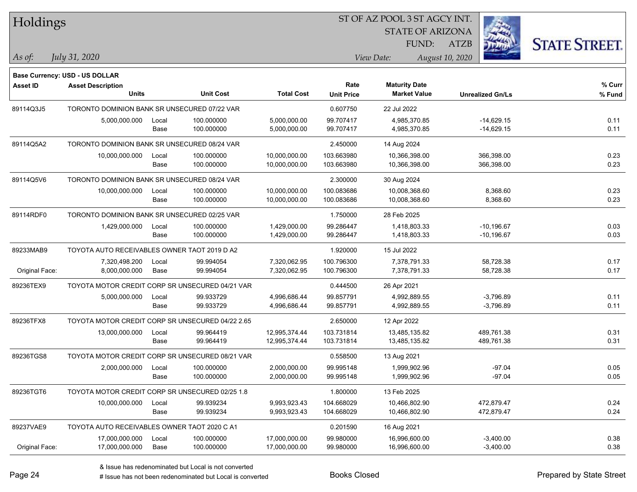| Holdings        |                                                            |       |                                                 |                   | ST OF AZ POOL 3 ST AGCY INT. |                         |                         |                      |
|-----------------|------------------------------------------------------------|-------|-------------------------------------------------|-------------------|------------------------------|-------------------------|-------------------------|----------------------|
|                 |                                                            |       |                                                 |                   |                              | <b>STATE OF ARIZONA</b> |                         |                      |
|                 |                                                            |       |                                                 |                   |                              | FUND:                   | <b>ATZB</b>             | <b>STATE STREET.</b> |
| As of:          | July 31, 2020                                              |       |                                                 |                   |                              | View Date:              | August 10, 2020         |                      |
|                 |                                                            |       |                                                 |                   |                              |                         |                         |                      |
| <b>Asset ID</b> | Base Currency: USD - US DOLLAR<br><b>Asset Description</b> |       |                                                 |                   | Rate                         | <b>Maturity Date</b>    |                         | % Curr               |
|                 | <b>Units</b>                                               |       | <b>Unit Cost</b>                                | <b>Total Cost</b> | <b>Unit Price</b>            | <b>Market Value</b>     | <b>Unrealized Gn/Ls</b> | % Fund               |
| 89114Q3J5       | TORONTO DOMINION BANK SR UNSECURED 07/22 VAR               |       |                                                 |                   | 0.607750                     | 22 Jul 2022             |                         |                      |
|                 | 5,000,000.000                                              | Local | 100.000000                                      | 5,000,000.00      | 99.707417                    | 4,985,370.85            | $-14,629.15$            | 0.11                 |
|                 |                                                            | Base  | 100.000000                                      | 5,000,000.00      | 99.707417                    | 4,985,370.85            | $-14,629.15$            | 0.11                 |
| 89114Q5A2       | TORONTO DOMINION BANK SR UNSECURED 08/24 VAR               |       |                                                 |                   | 2.450000                     | 14 Aug 2024             |                         |                      |
|                 | 10,000,000.000                                             | Local | 100.000000                                      | 10,000,000.00     | 103.663980                   | 10,366,398.00           | 366,398.00              | 0.23                 |
|                 |                                                            | Base  | 100.000000                                      | 10,000,000.00     | 103.663980                   | 10,366,398.00           | 366,398.00              | 0.23                 |
| 89114Q5V6       | TORONTO DOMINION BANK SR UNSECURED 08/24 VAR               |       |                                                 |                   | 2.300000                     | 30 Aug 2024             |                         |                      |
|                 | 10,000,000.000                                             | Local | 100.000000                                      | 10,000,000.00     | 100.083686                   | 10,008,368.60           | 8,368.60                | 0.23                 |
|                 |                                                            | Base  | 100.000000                                      | 10,000,000.00     | 100.083686                   | 10,008,368.60           | 8,368.60                | 0.23                 |
| 89114RDF0       | TORONTO DOMINION BANK SR UNSECURED 02/25 VAR               |       |                                                 |                   | 1.750000                     | 28 Feb 2025             |                         |                      |
|                 | 1,429,000.000                                              | Local | 100.000000                                      | 1,429,000.00      | 99.286447                    | 1,418,803.33            | $-10,196.67$            | 0.03                 |
|                 |                                                            | Base  | 100.000000                                      | 1,429,000.00      | 99.286447                    | 1,418,803.33            | $-10,196.67$            | 0.03                 |
| 89233MAB9       | TOYOTA AUTO RECEIVABLES OWNER TAOT 2019 D A2               |       |                                                 |                   | 1.920000                     | 15 Jul 2022             |                         |                      |
|                 | 7,320,498.200                                              | Local | 99.994054                                       | 7,320,062.95      | 100.796300                   | 7,378,791.33            | 58,728.38               | 0.17                 |
| Original Face:  | 8,000,000.000                                              | Base  | 99.994054                                       | 7,320,062.95      | 100.796300                   | 7,378,791.33            | 58,728.38               | 0.17                 |
| 89236TEX9       | TOYOTA MOTOR CREDIT CORP SR UNSECURED 04/21 VAR            |       |                                                 |                   | 0.444500                     | 26 Apr 2021             |                         |                      |
|                 | 5,000,000.000                                              | Local | 99.933729                                       | 4,996,686.44      | 99.857791                    | 4,992,889.55            | $-3,796.89$             | 0.11                 |
|                 |                                                            | Base  | 99.933729                                       | 4,996,686.44      | 99.857791                    | 4,992,889.55            | $-3,796.89$             | 0.11                 |
| 89236TFX8       | TOYOTA MOTOR CREDIT CORP SR UNSECURED 04/22 2.65           |       |                                                 |                   | 2.650000                     | 12 Apr 2022             |                         |                      |
|                 | 13,000,000.000                                             | Local | 99.964419                                       | 12,995,374.44     | 103.731814                   | 13,485,135.82           | 489,761.38              | 0.31                 |
|                 |                                                            | Base  | 99.964419                                       | 12,995,374.44     | 103.731814                   | 13,485,135.82           | 489,761.38              | 0.31                 |
| 89236TGS8       |                                                            |       | TOYOTA MOTOR CREDIT CORP SR UNSECURED 08/21 VAR |                   | 0.558500                     | 13 Aug 2021             |                         |                      |
|                 | 2,000,000.000                                              | Local | 100.000000                                      | 2,000,000.00      | 99.995148                    | 1,999,902.96            | $-97.04$                | 0.05                 |
|                 |                                                            | Base  | 100.000000                                      | 2,000,000.00      | 99.995148                    | 1,999,902.96            | $-97.04$                | 0.05                 |
| 89236TGT6       | TOYOTA MOTOR CREDIT CORP SR UNSECURED 02/25 1.8            |       |                                                 |                   | 1.800000                     | 13 Feb 2025             |                         |                      |
|                 | 10,000,000.000                                             | Local | 99.939234                                       | 9,993,923.43      | 104.668029                   | 10,466,802.90           | 472,879.47              | 0.24                 |
|                 |                                                            | Base  | 99.939234                                       | 9,993,923.43      | 104.668029                   | 10,466,802.90           | 472,879.47              | 0.24                 |
| 89237VAE9       | TOYOTA AUTO RECEIVABLES OWNER TAOT 2020 C A1               |       |                                                 |                   | 0.201590                     | 16 Aug 2021             |                         |                      |
|                 | 17,000,000.000                                             | Local | 100.000000                                      | 17,000,000.00     | 99.980000                    | 16,996,600.00           | $-3,400.00$             | 0.38                 |
| Original Face:  | 17,000,000.000                                             | Base  | 100.000000                                      | 17,000,000.00     | 99.980000                    | 16,996,600.00           | $-3,400.00$             | 0.38                 |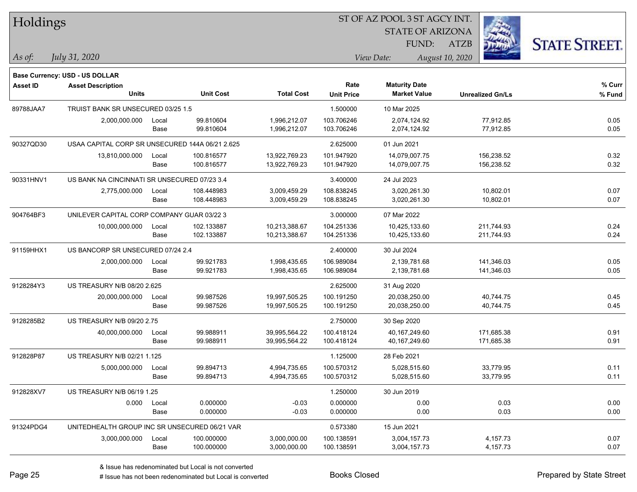| Holdings        |                                                 |       |                  |                   |                   | ST OF AZ POOL 3 ST AGCY INT. |                         |                      |
|-----------------|-------------------------------------------------|-------|------------------|-------------------|-------------------|------------------------------|-------------------------|----------------------|
|                 |                                                 |       |                  |                   |                   | <b>STATE OF ARIZONA</b>      |                         |                      |
|                 |                                                 |       |                  |                   |                   | FUND:                        | <b>ATZB</b>             | <b>STATE STREET.</b> |
| As of:          | July 31, 2020                                   |       |                  |                   |                   | View Date:                   | August 10, 2020         |                      |
|                 | Base Currency: USD - US DOLLAR                  |       |                  |                   |                   |                              |                         |                      |
| <b>Asset ID</b> | <b>Asset Description</b>                        |       |                  |                   | Rate              | <b>Maturity Date</b>         |                         | % Curr               |
|                 | <b>Units</b>                                    |       | <b>Unit Cost</b> | <b>Total Cost</b> | <b>Unit Price</b> | <b>Market Value</b>          | <b>Unrealized Gn/Ls</b> | % Fund               |
| 89788JAA7       | TRUIST BANK SR UNSECURED 03/25 1.5              |       |                  |                   | 1.500000          | 10 Mar 2025                  |                         |                      |
|                 | 2,000,000.000                                   | Local | 99.810604        | 1,996,212.07      | 103.706246        | 2,074,124.92                 | 77,912.85               | 0.05                 |
|                 |                                                 | Base  | 99.810604        | 1,996,212.07      | 103.706246        | 2,074,124.92                 | 77,912.85               | 0.05                 |
| 90327QD30       | USAA CAPITAL CORP SR UNSECURED 144A 06/21 2.625 |       |                  |                   | 2.625000          | 01 Jun 2021                  |                         |                      |
|                 | 13,810,000.000                                  | Local | 100.816577       | 13,922,769.23     | 101.947920        | 14,079,007.75                | 156,238.52              | 0.32                 |
|                 |                                                 | Base  | 100.816577       | 13,922,769.23     | 101.947920        | 14,079,007.75                | 156,238.52              | 0.32                 |
| 90331HNV1       | US BANK NA CINCINNATI SR UNSECURED 07/23 3.4    |       |                  |                   | 3.400000          | 24 Jul 2023                  |                         |                      |
|                 | 2,775,000.000                                   | Local | 108.448983       | 3,009,459.29      | 108.838245        | 3,020,261.30                 | 10,802.01               | 0.07                 |
|                 |                                                 | Base  | 108.448983       | 3,009,459.29      | 108.838245        | 3,020,261.30                 | 10,802.01               | 0.07                 |
| 904764BF3       | UNILEVER CAPITAL CORP COMPANY GUAR 03/22 3      |       |                  |                   | 3.000000          | 07 Mar 2022                  |                         |                      |
|                 | 10,000,000.000                                  | Local | 102.133887       | 10,213,388.67     | 104.251336        | 10,425,133.60                | 211,744.93              | 0.24                 |
|                 |                                                 | Base  | 102.133887       | 10,213,388.67     | 104.251336        | 10,425,133.60                | 211,744.93              | 0.24                 |
| 91159HHX1       | US BANCORP SR UNSECURED 07/24 2.4               |       |                  |                   | 2.400000          | 30 Jul 2024                  |                         |                      |
|                 | 2,000,000.000                                   | Local | 99.921783        | 1,998,435.65      | 106.989084        | 2,139,781.68                 | 141,346.03              | 0.05                 |
|                 |                                                 | Base  | 99.921783        | 1,998,435.65      | 106.989084        | 2,139,781.68                 | 141,346.03              | 0.05                 |
| 9128284Y3       | US TREASURY N/B 08/20 2.625                     |       |                  |                   | 2.625000          | 31 Aug 2020                  |                         |                      |
|                 | 20,000,000.000                                  | Local | 99.987526        | 19,997,505.25     | 100.191250        | 20,038,250.00                | 40,744.75               | 0.45                 |
|                 |                                                 | Base  | 99.987526        | 19,997,505.25     | 100.191250        | 20,038,250.00                | 40,744.75               | 0.45                 |
| 9128285B2       | US TREASURY N/B 09/20 2.75                      |       |                  |                   | 2.750000          | 30 Sep 2020                  |                         |                      |
|                 | 40,000,000.000                                  | Local | 99.988911        | 39,995,564.22     | 100.418124        | 40,167,249.60                | 171,685.38              | 0.91                 |
|                 |                                                 | Base  | 99.988911        | 39,995,564.22     | 100.418124        | 40,167,249.60                | 171,685.38              | 0.91                 |
| 912828P87       | US TREASURY N/B 02/21 1.125                     |       |                  |                   | 1.125000          | 28 Feb 2021                  |                         |                      |
|                 | 5,000,000.000                                   | Local | 99.894713        | 4,994,735.65      | 100.570312        | 5,028,515.60                 | 33,779.95               | 0.11                 |
|                 |                                                 | Base  | 99.894713        | 4,994,735.65      | 100.570312        | 5,028,515.60                 | 33,779.95               | 0.11                 |
| 912828XV7       | US TREASURY N/B 06/19 1.25                      |       |                  |                   | 1.250000          | 30 Jun 2019                  |                         |                      |
|                 | 0.000                                           | Local | 0.000000         | $-0.03$           | 0.000000          | 0.00                         | 0.03                    | 0.00                 |
|                 |                                                 | Base  | 0.000000         | $-0.03$           | 0.000000          | 0.00                         | 0.03                    | 0.00                 |
| 91324PDG4       | UNITEDHEALTH GROUP INC SR UNSECURED 06/21 VAR   |       |                  |                   | 0.573380          | 15 Jun 2021                  |                         |                      |
|                 | 3,000,000.000                                   | Local | 100.000000       | 3,000,000.00      | 100.138591        | 3,004,157.73                 | 4,157.73                | 0.07                 |
|                 |                                                 | Base  | 100.000000       | 3,000,000.00      | 100.138591        | 3,004,157.73                 | 4,157.73                | 0.07                 |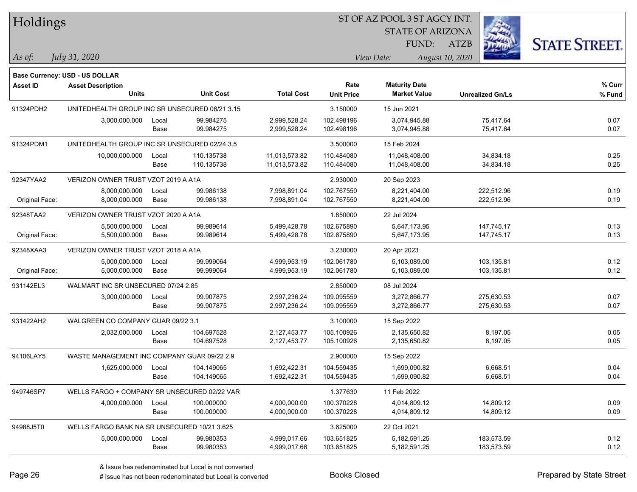|  |  | Holdings |
|--|--|----------|
|--|--|----------|

STATE OF ARIZONA

ATZB



*July 31, 2020*

**Base Currency: USD - US DOLLAR**

*As of: View Date: August 10, 2020* FUND:

| <b>Asset ID</b> | <b>Asset Description</b>                       |       |                  |                   | Rate              | <b>Maturity Date</b> |                         | % Curr |
|-----------------|------------------------------------------------|-------|------------------|-------------------|-------------------|----------------------|-------------------------|--------|
|                 | <b>Units</b>                                   |       | <b>Unit Cost</b> | <b>Total Cost</b> | <b>Unit Price</b> | <b>Market Value</b>  | <b>Unrealized Gn/Ls</b> | % Fund |
| 91324PDH2       | UNITEDHEALTH GROUP INC SR UNSECURED 06/21 3.15 |       |                  |                   | 3.150000          | 15 Jun 2021          |                         |        |
|                 | 3,000,000.000                                  | Local | 99.984275        | 2,999,528.24      | 102.498196        | 3,074,945.88         | 75,417.64               | 0.07   |
|                 |                                                | Base  | 99.984275        | 2,999,528.24      | 102.498196        | 3,074,945.88         | 75,417.64               | 0.07   |
| 91324PDM1       | UNITEDHEALTH GROUP INC SR UNSECURED 02/24 3.5  |       |                  |                   | 3.500000          | 15 Feb 2024          |                         |        |
|                 | 10,000,000.000                                 | Local | 110.135738       | 11,013,573.82     | 110.484080        | 11,048,408.00        | 34,834.18               | 0.25   |
|                 |                                                | Base  | 110.135738       | 11,013,573.82     | 110.484080        | 11,048,408.00        | 34,834.18               | 0.25   |
| 92347YAA2       | VERIZON OWNER TRUST VZOT 2019 A A1A            |       |                  |                   | 2.930000          | 20 Sep 2023          |                         |        |
|                 | 8,000,000.000                                  | Local | 99.986138        | 7,998,891.04      | 102.767550        | 8,221,404.00         | 222,512.96              | 0.19   |
| Original Face:  | 8,000,000.000                                  | Base  | 99.986138        | 7,998,891.04      | 102.767550        | 8,221,404.00         | 222,512.96              | 0.19   |
| 92348TAA2       | VERIZON OWNER TRUST VZOT 2020 A A1A            |       |                  |                   | 1.850000          | 22 Jul 2024          |                         |        |
|                 | 5,500,000.000                                  | Local | 99.989614        | 5,499,428.78      | 102.675890        | 5,647,173.95         | 147,745.17              | 0.13   |
| Original Face:  | 5,500,000.000                                  | Base  | 99.989614        | 5,499,428.78      | 102.675890        | 5,647,173.95         | 147,745.17              | 0.13   |
| 92348XAA3       | VERIZON OWNER TRUST VZOT 2018 A A1A            |       |                  |                   | 3.230000          | 20 Apr 2023          |                         |        |
|                 | 5,000,000.000                                  | Local | 99.999064        | 4,999,953.19      | 102.061780        | 5,103,089.00         | 103,135.81              | 0.12   |
| Original Face:  | 5,000,000.000                                  | Base  | 99.999064        | 4,999,953.19      | 102.061780        | 5,103,089.00         | 103,135.81              | 0.12   |
| 931142EL3       | WALMART INC SR UNSECURED 07/24 2.85            |       |                  |                   | 2.850000          | 08 Jul 2024          |                         |        |
|                 | 3,000,000.000                                  | Local | 99.907875        | 2,997,236.24      | 109.095559        | 3,272,866.77         | 275,630.53              | 0.07   |
|                 |                                                | Base  | 99.907875        | 2,997,236.24      | 109.095559        | 3,272,866.77         | 275,630.53              | 0.07   |
| 931422AH2       | WALGREEN CO COMPANY GUAR 09/22 3.1             |       |                  |                   | 3.100000          | 15 Sep 2022          |                         |        |
|                 | 2,032,000.000                                  | Local | 104.697528       | 2,127,453.77      | 105.100926        | 2,135,650.82         | 8,197.05                | 0.05   |
|                 |                                                | Base  | 104.697528       | 2,127,453.77      | 105.100926        | 2,135,650.82         | 8,197.05                | 0.05   |
| 94106LAY5       | WASTE MANAGEMENT INC COMPANY GUAR 09/22 2.9    |       |                  |                   | 2.900000          | 15 Sep 2022          |                         |        |
|                 | 1,625,000.000                                  | Local | 104.149065       | 1,692,422.31      | 104.559435        | 1,699,090.82         | 6,668.51                | 0.04   |
|                 |                                                | Base  | 104.149065       | 1,692,422.31      | 104.559435        | 1,699,090.82         | 6,668.51                | 0.04   |
| 949746SP7       | WELLS FARGO + COMPANY SR UNSECURED 02/22 VAR   |       |                  |                   | 1.377630          | 11 Feb 2022          |                         |        |
|                 | 4,000,000.000                                  | Local | 100.000000       | 4,000,000.00      | 100.370228        | 4,014,809.12         | 14,809.12               | 0.09   |
|                 |                                                | Base  | 100.000000       | 4,000,000.00      | 100.370228        | 4,014,809.12         | 14,809.12               | 0.09   |
| 94988J5T0       | WELLS FARGO BANK NA SR UNSECURED 10/21 3.625   |       |                  |                   | 3.625000          | 22 Oct 2021          |                         |        |
|                 | 5,000,000.000                                  | Local | 99.980353        | 4,999,017.66      | 103.651825        | 5,182,591.25         | 183,573.59              | 0.12   |
|                 |                                                | Base  | 99.980353        | 4,999,017.66      | 103.651825        | 5,182,591.25         | 183,573.59              | 0.12   |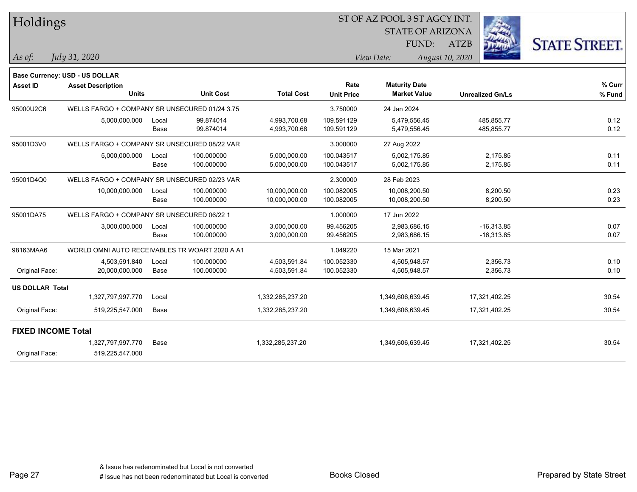| Holdings                  |                                                |               |                          |                                |                           | ST OF AZ POOL 3 ST AGCY INT.                |                              |                      |
|---------------------------|------------------------------------------------|---------------|--------------------------|--------------------------------|---------------------------|---------------------------------------------|------------------------------|----------------------|
|                           |                                                |               |                          |                                |                           | <b>STATE OF ARIZONA</b>                     |                              |                      |
|                           |                                                |               |                          |                                |                           | FUND:                                       | <b>ATZB</b>                  | <b>STATE STREET.</b> |
| As of:                    | July 31, 2020                                  |               |                          |                                |                           | View Date:                                  | August 10, 2020              |                      |
|                           | Base Currency: USD - US DOLLAR                 |               |                          |                                |                           |                                             |                              |                      |
| <b>Asset ID</b>           | <b>Asset Description</b><br><b>Units</b>       |               | <b>Unit Cost</b>         | <b>Total Cost</b>              | Rate<br><b>Unit Price</b> | <b>Maturity Date</b><br><b>Market Value</b> | <b>Unrealized Gn/Ls</b>      | % Curr<br>% Fund     |
| 95000U2C6                 | WELLS FARGO + COMPANY SR UNSECURED 01/24 3.75  |               |                          |                                | 3.750000                  | 24 Jan 2024                                 |                              |                      |
|                           | 5,000,000.000                                  | Local<br>Base | 99.874014<br>99.874014   | 4,993,700.68<br>4,993,700.68   | 109.591129<br>109.591129  | 5,479,556.45<br>5,479,556.45                | 485,855.77<br>485,855.77     | 0.12<br>0.12         |
| 95001D3V0                 | WELLS FARGO + COMPANY SR UNSECURED 08/22 VAR   |               |                          |                                | 3.000000                  | 27 Aug 2022                                 |                              |                      |
|                           | 5,000,000.000                                  | Local         | 100.000000               | 5,000,000.00                   | 100.043517                | 5,002,175.85                                | 2,175.85                     | 0.11                 |
|                           |                                                | Base          | 100.000000               | 5,000,000.00                   | 100.043517                | 5,002,175.85                                | 2,175.85                     | 0.11                 |
| 95001D4Q0                 | WELLS FARGO + COMPANY SR UNSECURED 02/23 VAR   |               |                          |                                | 2.300000                  | 28 Feb 2023                                 |                              |                      |
|                           | 10,000,000.000                                 | Local<br>Base | 100.000000<br>100.000000 | 10,000,000.00<br>10,000,000.00 | 100.082005<br>100.082005  | 10,008,200.50<br>10,008,200.50              | 8,200.50<br>8,200.50         | 0.23<br>0.23         |
| 95001DA75                 | WELLS FARGO + COMPANY SR UNSECURED 06/22 1     |               |                          |                                | 1.000000                  | 17 Jun 2022                                 |                              |                      |
|                           | 3,000,000.000                                  | Local<br>Base | 100.000000<br>100.000000 | 3,000,000.00<br>3,000,000.00   | 99.456205<br>99.456205    | 2,983,686.15<br>2,983,686.15                | $-16,313.85$<br>$-16,313.85$ | 0.07<br>0.07         |
| 98163MAA6                 | WORLD OMNI AUTO RECEIVABLES TR WOART 2020 A A1 |               |                          |                                | 1.049220                  | 15 Mar 2021                                 |                              |                      |
| Original Face:            | 4,503,591.840<br>20,000,000.000                | Local<br>Base | 100.000000<br>100.000000 | 4,503,591.84<br>4,503,591.84   | 100.052330<br>100.052330  | 4,505,948.57<br>4,505,948.57                | 2,356.73<br>2,356.73         | 0.10<br>0.10         |
| <b>US DOLLAR Total</b>    |                                                |               |                          |                                |                           |                                             |                              |                      |
|                           | 1,327,797,997.770                              | Local         |                          | 1,332,285,237.20               |                           | 1,349,606,639.45                            | 17,321,402.25                | 30.54                |
| Original Face:            | 519,225,547.000                                | Base          |                          | 1,332,285,237.20               |                           | 1,349,606,639.45                            | 17,321,402.25                | 30.54                |
| <b>FIXED INCOME Total</b> |                                                |               |                          |                                |                           |                                             |                              |                      |
| Original Face:            | 1,327,797,997.770<br>519,225,547.000           | Base          |                          | 1,332,285,237.20               |                           | 1,349,606,639.45                            | 17,321,402.25                | 30.54                |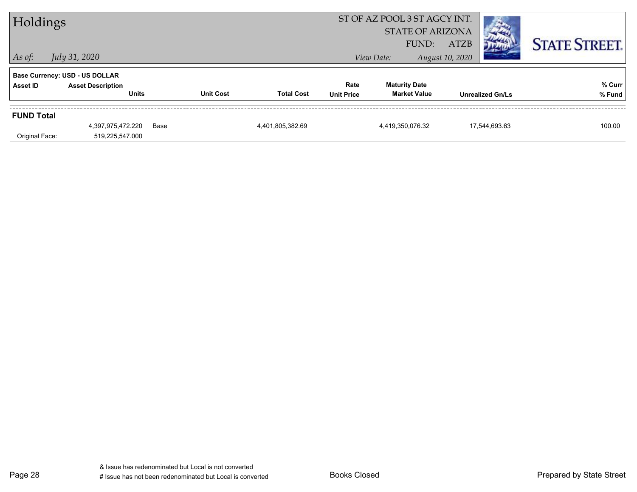|                                     | ST OF AZ POOL 3 ST AGCY INT.<br>Holdings<br><b>STATE OF ARIZONA</b><br>FUND:<br><b>ATZB</b><br>July 31, 2020<br>View Date:<br>August 10, 2020 |      |                  |                   |                           |                                             |  |                         | <b>STATE STREET.</b> |
|-------------------------------------|-----------------------------------------------------------------------------------------------------------------------------------------------|------|------------------|-------------------|---------------------------|---------------------------------------------|--|-------------------------|----------------------|
| $ $ As of:<br>Asset ID              | Base Currency: USD - US DOLLAR<br><b>Asset Description</b><br><b>Units</b>                                                                    |      | <b>Unit Cost</b> | <b>Total Cost</b> | Rate<br><b>Unit Price</b> | <b>Maturity Date</b><br><b>Market Value</b> |  | <b>Unrealized Gn/Ls</b> | % Curr<br>% Fund     |
| <b>FUND Total</b><br>Original Face: | 4,397,975,472.220<br>519,225,547.000                                                                                                          | Base |                  | 4,401,805,382.69  |                           | 4,419,350,076.32                            |  | 17,544,693.63           | 100.00               |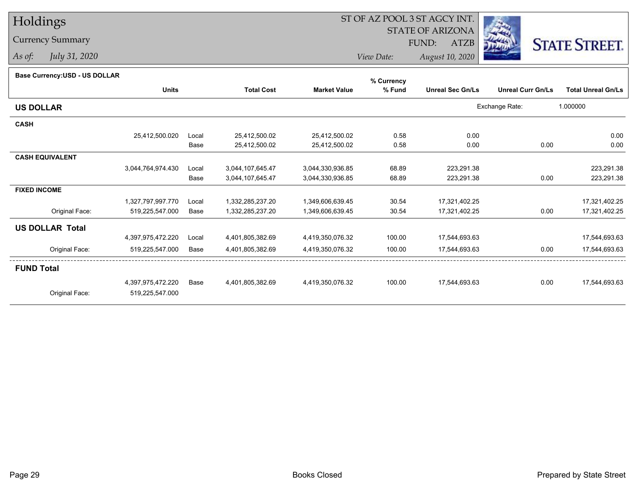## Holdings

### Currency Summary

*As of: July 31, 2020*

## ST OF AZ POOL 3 ST AGCY INT.

STATE OF ARIZONA

FUND: ATZB



*View Date:August 10, 2020*

| Base Currency: USD - US DOLLAR |                   |       |                   |                     | % Currency |                         |                          |                           |
|--------------------------------|-------------------|-------|-------------------|---------------------|------------|-------------------------|--------------------------|---------------------------|
|                                | <b>Units</b>      |       | <b>Total Cost</b> | <b>Market Value</b> | % Fund     | <b>Unreal Sec Gn/Ls</b> | <b>Unreal Curr Gn/Ls</b> | <b>Total Unreal Gn/Ls</b> |
| <b>US DOLLAR</b>               |                   |       |                   |                     |            |                         | Exchange Rate:           | 1.000000                  |
| <b>CASH</b>                    |                   |       |                   |                     |            |                         |                          |                           |
|                                | 25,412,500.020    | Local | 25,412,500.02     | 25,412,500.02       | 0.58       | 0.00                    |                          | 0.00                      |
|                                |                   | Base  | 25,412,500.02     | 25,412,500.02       | 0.58       | 0.00                    | 0.00                     | 0.00                      |
| <b>CASH EQUIVALENT</b>         |                   |       |                   |                     |            |                         |                          |                           |
|                                | 3,044,764,974.430 | Local | 3,044,107,645.47  | 3,044,330,936.85    | 68.89      | 223,291.38              |                          | 223,291.38                |
|                                |                   | Base  | 3,044,107,645.47  | 3,044,330,936.85    | 68.89      | 223,291.38              | 0.00                     | 223,291.38                |
| <b>FIXED INCOME</b>            |                   |       |                   |                     |            |                         |                          |                           |
|                                | 1,327,797,997.770 | Local | 1,332,285,237.20  | 1,349,606,639.45    | 30.54      | 17,321,402.25           |                          | 17,321,402.25             |
| Original Face:                 | 519,225,547.000   | Base  | 1,332,285,237.20  | 1,349,606,639.45    | 30.54      | 17,321,402.25           | 0.00                     | 17,321,402.25             |
| <b>US DOLLAR Total</b>         |                   |       |                   |                     |            |                         |                          |                           |
|                                | 4,397,975,472.220 | Local | 4,401,805,382.69  | 4,419,350,076.32    | 100.00     | 17,544,693.63           |                          | 17,544,693.63             |
| Original Face:                 | 519,225,547.000   | Base  | 4,401,805,382.69  | 4,419,350,076.32    | 100.00     | 17,544,693.63           | 0.00                     | 17,544,693.63             |
| <b>FUND Total</b>              |                   |       |                   |                     |            |                         |                          |                           |
|                                | 4,397,975,472.220 | Base  | 4,401,805,382.69  | 4,419,350,076.32    | 100.00     | 17,544,693.63           | 0.00                     | 17,544,693.63             |
| Original Face:                 | 519,225,547.000   |       |                   |                     |            |                         |                          |                           |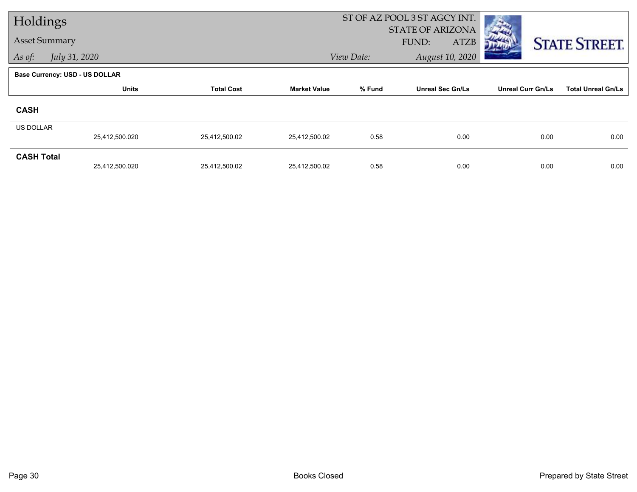| Holdings             |                                       |                   |                     |            | ST OF AZ POOL 3 ST AGCY INT. |                          |                           |
|----------------------|---------------------------------------|-------------------|---------------------|------------|------------------------------|--------------------------|---------------------------|
| <b>Asset Summary</b> |                                       |                   |                     |            | <b>STATE OF ARIZONA</b>      |                          |                           |
|                      |                                       |                   |                     |            | <b>ATZB</b><br>FUND:         |                          | <b>STATE STREET.</b>      |
| As of:               | July 31, 2020                         |                   |                     | View Date: | August 10, 2020              |                          |                           |
|                      | <b>Base Currency: USD - US DOLLAR</b> |                   |                     |            |                              |                          |                           |
|                      | <b>Units</b>                          | <b>Total Cost</b> | <b>Market Value</b> | % Fund     | <b>Unreal Sec Gn/Ls</b>      | <b>Unreal Curr Gn/Ls</b> | <b>Total Unreal Gn/Ls</b> |
| <b>CASH</b>          |                                       |                   |                     |            |                              |                          |                           |
| US DOLLAR            |                                       |                   |                     |            |                              |                          |                           |
|                      | 25,412,500.020                        | 25,412,500.02     | 25,412,500.02       | 0.58       | 0.00                         | 0.00                     | 0.00                      |
| <b>CASH Total</b>    |                                       |                   |                     |            |                              |                          |                           |
|                      | 25,412,500.020                        | 25,412,500.02     | 25,412,500.02       | 0.58       | 0.00                         | 0.00                     | 0.00                      |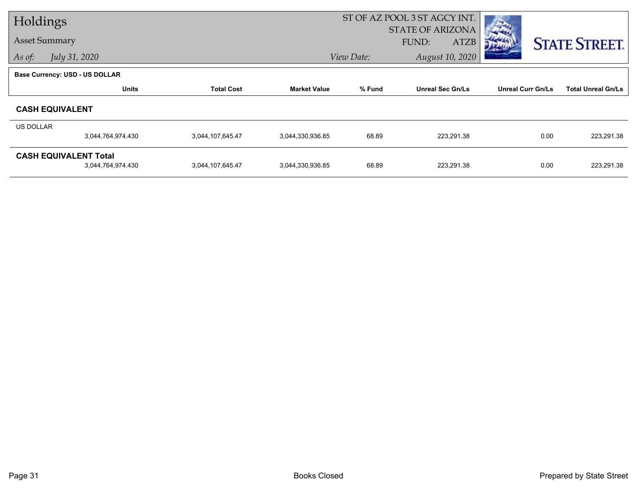| Holdings  |                                       |                   | ST OF AZ POOL 3 ST AGCY INT. |                               |                         |                          |                           |
|-----------|---------------------------------------|-------------------|------------------------------|-------------------------------|-------------------------|--------------------------|---------------------------|
|           |                                       |                   |                              | <b>STATE OF ARIZONA</b>       |                         |                          |                           |
|           | <b>Asset Summary</b>                  |                   |                              |                               | FUND:<br><b>ATZB</b>    |                          | <b>STATE STREET.</b>      |
| As of:    | July 31, 2020                         |                   |                              | August 10, 2020<br>View Date: |                         |                          |                           |
|           | <b>Base Currency: USD - US DOLLAR</b> |                   |                              |                               |                         |                          |                           |
|           | <b>Units</b>                          | <b>Total Cost</b> | <b>Market Value</b>          | % Fund                        | <b>Unreal Sec Gn/Ls</b> | <b>Unreal Curr Gn/Ls</b> | <b>Total Unreal Gn/Ls</b> |
|           | <b>CASH EQUIVALENT</b>                |                   |                              |                               |                         |                          |                           |
| US DOLLAR |                                       |                   |                              |                               |                         |                          |                           |
|           | 3,044,764,974.430                     | 3,044,107,645.47  | 3,044,330,936.85             | 68.89                         | 223,291.38              | 0.00                     | 223,291.38                |
|           | <b>CASH EQUIVALENT Total</b>          |                   |                              |                               |                         |                          |                           |
|           | 3,044,764,974.430                     | 3,044,107,645.47  | 3,044,330,936.85             | 68.89                         | 223,291.38              | 0.00                     | 223,291.38                |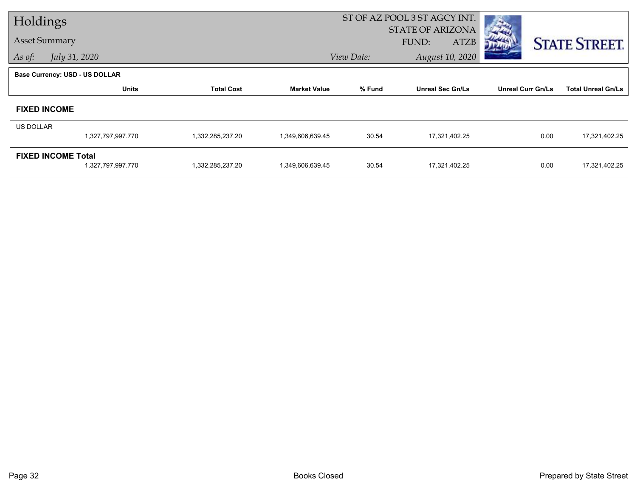| Holdings             |                                                |                   | ST OF AZ POOL 3 ST AGCY INT.                    |                               |                         |                          |                           |  |
|----------------------|------------------------------------------------|-------------------|-------------------------------------------------|-------------------------------|-------------------------|--------------------------|---------------------------|--|
| <b>Asset Summary</b> |                                                |                   | <b>STATE OF ARIZONA</b><br>FUND:<br><b>ATZB</b> |                               |                         | <b>STATE STREET.</b>     |                           |  |
| As of:               | July 31, 2020                                  |                   |                                                 | August 10, 2020<br>View Date: |                         |                          |                           |  |
|                      | <b>Base Currency: USD - US DOLLAR</b>          |                   |                                                 |                               |                         |                          |                           |  |
|                      | <b>Units</b>                                   | <b>Total Cost</b> | <b>Market Value</b>                             | % Fund                        | <b>Unreal Sec Gn/Ls</b> | <b>Unreal Curr Gn/Ls</b> | <b>Total Unreal Gn/Ls</b> |  |
|                      | <b>FIXED INCOME</b>                            |                   |                                                 |                               |                         |                          |                           |  |
| US DOLLAR            |                                                |                   |                                                 |                               |                         |                          |                           |  |
|                      | 1,327,797,997.770                              | 1,332,285,237.20  | 1,349,606,639.45                                | 30.54                         | 17,321,402.25           | 0.00                     | 17,321,402.25             |  |
|                      | <b>FIXED INCOME Total</b><br>1,327,797,997.770 | 1,332,285,237.20  | 1,349,606,639.45                                | 30.54                         | 17,321,402.25           | 0.00                     | 17,321,402.25             |  |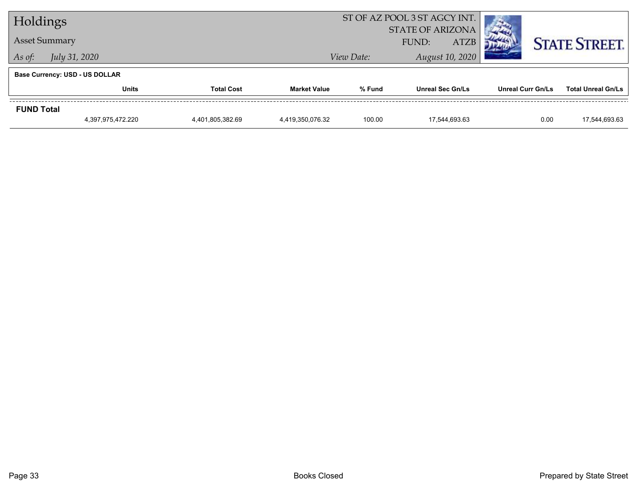| Holdings             |                                       |                   |                                                 | ST OF AZ POOL 3 ST AGCY INT. |                         |                          |                           |
|----------------------|---------------------------------------|-------------------|-------------------------------------------------|------------------------------|-------------------------|--------------------------|---------------------------|
| <b>Asset Summary</b> |                                       |                   | <b>STATE OF ARIZONA</b><br><b>ATZB</b><br>FUND: |                              |                         | <b>STATE STREET.</b>     |                           |
| As of:               | <i>July 31, 2020</i>                  |                   |                                                 | View Date:                   | August 10, 2020         |                          |                           |
|                      | <b>Base Currency: USD - US DOLLAR</b> |                   |                                                 |                              |                         |                          |                           |
|                      | <b>Units</b>                          | <b>Total Cost</b> | <b>Market Value</b>                             | % Fund                       | <b>Unreal Sec Gn/Ls</b> | <b>Unreal Curr Gn/Ls</b> | <b>Total Unreal Gn/Ls</b> |
| <b>FUND Total</b>    |                                       |                   |                                                 |                              |                         |                          |                           |
|                      | 4,397,975,472.220                     | 4,401,805,382.69  | 4,419,350,076.32                                | 100.00                       | 17.544.693.63           | 0.00                     | 17,544,693.63             |